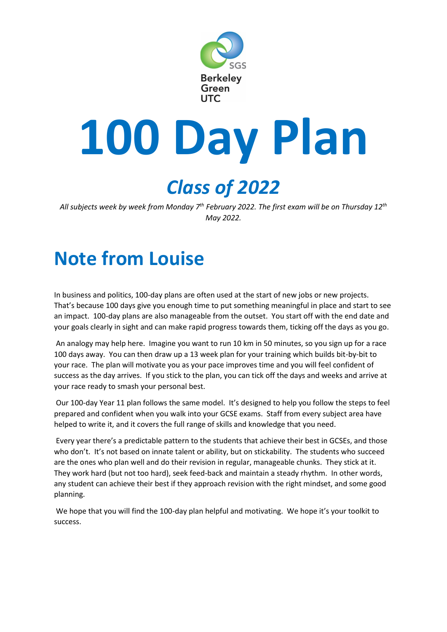

# **100 Day Plan**

# *Class of 2022*

*All subjects week by week from Monday 7th February 2022. The first exam will be on Thursday 12 th May 2022.*

# **Note from Louise**

In business and politics, 100-day plans are often used at the start of new jobs or new projects. That's because 100 days give you enough time to put something meaningful in place and start to see an impact. 100-day plans are also manageable from the outset. You start off with the end date and your goals clearly in sight and can make rapid progress towards them, ticking off the days as you go.

An analogy may help here. Imagine you want to run 10 km in 50 minutes, so you sign up for a race 100 days away. You can then draw up a 13 week plan for your training which builds bit-by-bit to your race. The plan will motivate you as your pace improves time and you will feel confident of success as the day arrives. If you stick to the plan, you can tick off the days and weeks and arrive at your race ready to smash your personal best.

Our 100-day Year 11 plan follows the same model. It's designed to help you follow the steps to feel prepared and confident when you walk into your GCSE exams. Staff from every subject area have helped to write it, and it covers the full range of skills and knowledge that you need.

Every year there's a predictable pattern to the students that achieve their best in GCSEs, and those who don't. It's not based on innate talent or ability, but on stickability. The students who succeed are the ones who plan well and do their revision in regular, manageable chunks. They stick at it. They work hard (but not too hard), seek feed-back and maintain a steady rhythm. In other words, any student can achieve their best if they approach revision with the right mindset, and some good planning.

We hope that you will find the 100-day plan helpful and motivating. We hope it's your toolkit to success.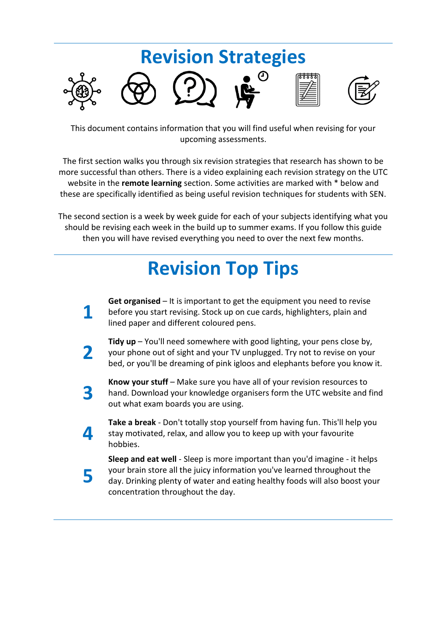# **Revision Strategies**

This document contains information that you will find useful when revising for your upcoming assessments.

The first section walks you through six revision strategies that research has shown to be more successful than others. There is a video explaining each revision strategy on the UTC website in the **remote learning** section. Some activities are marked with \* below and these are specifically identified as being useful revision techniques for students with SEN.

The second section is a week by week guide for each of your subjects identifying what you should be revising each week in the build up to summer exams. If you follow this guide then you will have revised everything you need to over the next few months.

# **Revision Top Tips**

- **1 Get organised** – It is important to get the equipment you need to revise before you start revising. Stock up on cue cards, highlighters, plain and lined paper and different coloured pens.
- **2 Tidy up** – You'll need somewhere with good lighting, your pens close by, your phone out of sight and your TV unplugged. Try not to revise on your bed, or you'll be dreaming of pink igloos and elephants before you know it.
- **3 Know your stuff** – Make sure you have all of your revision resources to hand. Download your knowledge organisers form the UTC website and find out what exam boards you are using.
	- **Take a break** Don't totally stop yourself from having fun. This'll help you stay motivated, relax, and allow you to keep up with your favourite hobbies.

**4**

**5**

**Sleep and eat well** - Sleep is more important than you'd imagine - it helps your brain store all the juicy information you've learned throughout the day. Drinking plenty of water and eating healthy foods will also boost your concentration throughout the day.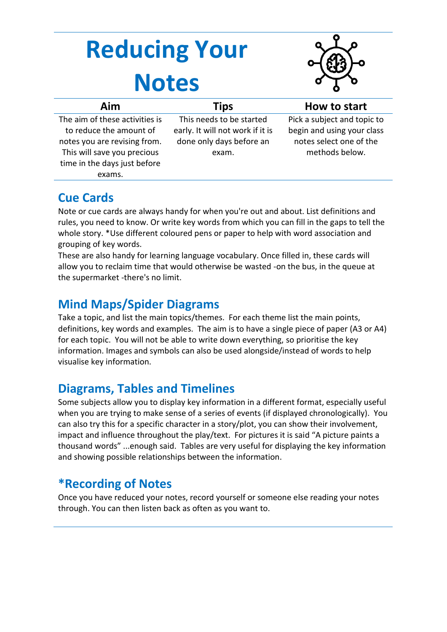# **Reducing Your Notes**



| Aim                            | Tips                             | How to start                |
|--------------------------------|----------------------------------|-----------------------------|
| The aim of these activities is | This needs to be started         | Pick a subject and topic to |
| to reduce the amount of        | early. It will not work if it is | begin and using your class  |
| notes you are revising from.   | done only days before an         | notes select one of the     |
| This will save you precious    | exam.                            | methods below.              |
| time in the days just before   |                                  |                             |
| exams.                         |                                  |                             |

#### **Cue Cards**

Note or cue cards are always handy for when you're out and about. List definitions and rules, you need to know. Or write key words from which you can fill in the gaps to tell the whole story. \*Use different coloured pens or paper to help with word association and grouping of key words.

These are also handy for learning language vocabulary. Once filled in, these cards will allow you to reclaim time that would otherwise be wasted -on the bus, in the queue at the supermarket -there's no limit.

#### **Mind Maps/Spider Diagrams**

Take a topic, and list the main topics/themes. For each theme list the main points, definitions, key words and examples. The aim is to have a single piece of paper (A3 or A4) for each topic. You will not be able to write down everything, so prioritise the key information. Images and symbols can also be used alongside/instead of words to help visualise key information.

#### **Diagrams, Tables and Timelines**

Some subjects allow you to display key information in a different format, especially useful when you are trying to make sense of a series of events (if displayed chronologically). You can also try this for a specific character in a story/plot, you can show their involvement, impact and influence throughout the play/text. For pictures it is said "A picture paints a thousand words" ...enough said. Tables are very useful for displaying the key information and showing possible relationships between the information.

#### **\*Recording of Notes**

Once you have reduced your notes, record yourself or someone else reading your notes through. You can then listen back as often as you want to.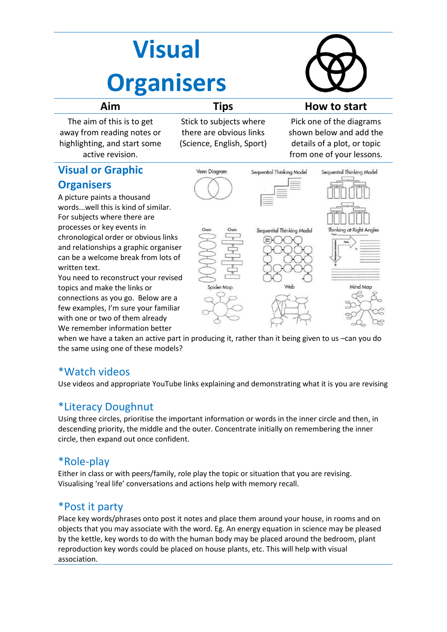# **Visual Organisers**



| Aim | <b>TINS</b> |
|-----|-------------|
|     |             |

The aim of this is to get away from reading notes or highlighting, and start some active revision.

**Visual or Graphic** 

A picture paints a thousand

For subjects where there are processes or key events in

topics and make the links or

**Organisers** 

written text.

Stick to subjects where there are obvious links (Science, English, Sport)

#### **Aim Tips How to start**

Pick one of the diagrams shown below and add the details of a plot, or topic from one of your lessons.



when we have a taken an active part in producing it, rather than it being given to us –can you do the same using one of these models?

#### \*Watch videos

Use videos and appropriate YouTube links explaining and demonstrating what it is you are revising

#### \*Literacy Doughnut

Using three circles, prioritise the important information or words in the inner circle and then, in descending priority, the middle and the outer. Concentrate initially on remembering the inner circle, then expand out once confident.

#### \*Role-play

Either in class or with peers/family, role play the topic or situation that you are revising. Visualising 'real life' conversations and actions help with memory recall.

#### \*Post it party

Place key words/phrases onto post it notes and place them around your house, in rooms and on objects that you may associate with the word. Eg. An energy equation in science may be pleased by the kettle, key words to do with the human body may be placed around the bedroom, plant reproduction key words could be placed on house plants, etc. This will help with visual association.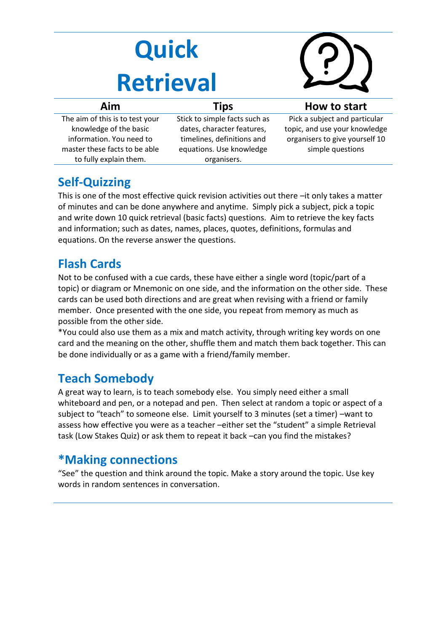# **Quick Retrieval**



| Aim                                                                                                                                              | <b>Tips</b>                                                                                                                          | How to start                                                                                                         |
|--------------------------------------------------------------------------------------------------------------------------------------------------|--------------------------------------------------------------------------------------------------------------------------------------|----------------------------------------------------------------------------------------------------------------------|
| The aim of this is to test your<br>knowledge of the basic<br>information. You need to<br>master these facts to be able<br>to fully explain them. | Stick to simple facts such as<br>dates, character features,<br>timelines, definitions and<br>equations. Use knowledge<br>organisers. | Pick a subject and particular<br>topic, and use your knowledge<br>organisers to give yourself 10<br>simple questions |

#### **Self-Quizzing**

This is one of the most effective quick revision activities out there –it only takes a matter of minutes and can be done anywhere and anytime. Simply pick a subject, pick a topic and write down 10 quick retrieval (basic facts) questions. Aim to retrieve the key facts and information; such as dates, names, places, quotes, definitions, formulas and equations. On the reverse answer the questions.

#### **Flash Cards**

Not to be confused with a cue cards, these have either a single word (topic/part of a topic) or diagram or Mnemonic on one side, and the information on the other side. These cards can be used both directions and are great when revising with a friend or family member. Once presented with the one side, you repeat from memory as much as possible from the other side.

\*You could also use them as a mix and match activity, through writing key words on one card and the meaning on the other, shuffle them and match them back together. This can be done individually or as a game with a friend/family member.

#### **Teach Somebody**

A great way to learn, is to teach somebody else. You simply need either a small whiteboard and pen, or a notepad and pen. Then select at random a topic or aspect of a subject to "teach" to someone else. Limit yourself to 3 minutes (set a timer) –want to assess how effective you were as a teacher –either set the "student" a simple Retrieval task (Low Stakes Quiz) or ask them to repeat it back –can you find the mistakes?

#### **\*Making connections**

"See" the question and think around the topic. Make a story around the topic. Use key words in random sentences in conversation.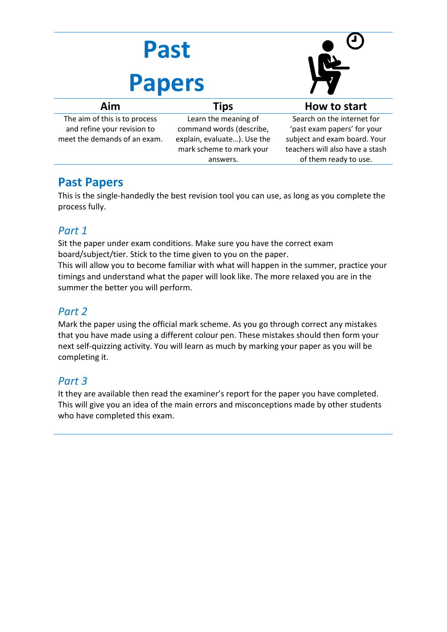| Past<br><b>Papers</b>                                                                        |                                                                                                             |                                                                                                                              |
|----------------------------------------------------------------------------------------------|-------------------------------------------------------------------------------------------------------------|------------------------------------------------------------------------------------------------------------------------------|
| Aim                                                                                          | <b>Tips</b>                                                                                                 | How to start                                                                                                                 |
| The aim of this is to process<br>and refine your revision to<br>meet the demands of an exam. | Learn the meaning of<br>command words (describe,<br>explain, evaluate). Use the<br>mark scheme to mark your | Search on the internet for<br>'past exam papers' for your<br>subject and exam board. Your<br>teachers will also have a stash |

#### **Past Papers**

This is the single-handedly the best revision tool you can use, as long as you complete the process fully.

answers.

of them ready to use.

#### *Part 1*

Sit the paper under exam conditions. Make sure you have the correct exam board/subject/tier. Stick to the time given to you on the paper.

This will allow you to become familiar with what will happen in the summer, practice your timings and understand what the paper will look like. The more relaxed you are in the summer the better you will perform.

#### *Part 2*

Mark the paper using the official mark scheme. As you go through correct any mistakes that you have made using a different colour pen. These mistakes should then form your next self-quizzing activity. You will learn as much by marking your paper as you will be completing it.

#### *Part 3*

It they are available then read the examiner's report for the paper you have completed. This will give you an idea of the main errors and misconceptions made by other students who have completed this exam.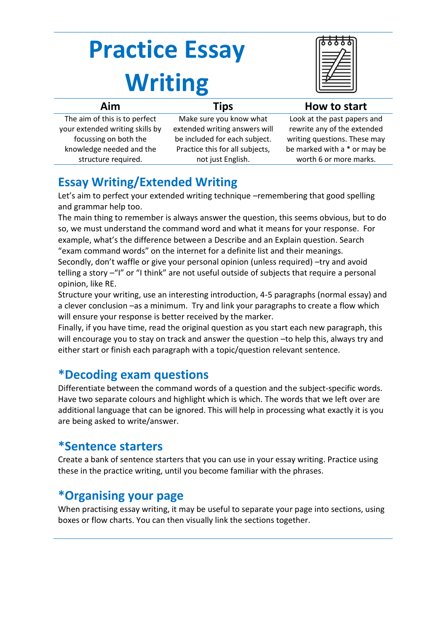# **Practice Essay Writing**

| Aim                             | <b>Tips</b>                     | How to start                 |
|---------------------------------|---------------------------------|------------------------------|
| The aim of this is to perfect   | Make sure you know what         | Look at the past papers and  |
| your extended writing skills by | extended writing answers will   | rewrite any of the extended  |
| focussing on both the           | be included for each subject.   | writing questions. These may |
| knowledge needed and the        | Practice this for all subjects, | be marked with a * or may be |
| structure required.             | not just English.               | worth 6 or more marks.       |
|                                 |                                 |                              |

#### **Essay Writing/Extended Writing**

Let's aim to perfect your extended writing technique –remembering that good spelling and grammar help too.

The main thing to remember is always answer the question, this seems obvious, but to do so, we must understand the command word and what it means for your response. For example, what's the difference between a Describe and an Explain question. Search "exam command words" on the internet for a definite list and their meanings.

Secondly, don't waffle or give your personal opinion (unless required) –try and avoid telling a story –"I" or "I think" are not useful outside of subjects that require a personal opinion, like RE.

Structure your writing, use an interesting introduction, 4-5 paragraphs (normal essay) and a clever conclusion –as a minimum. Try and link your paragraphs to create a flow which will ensure your response is better received by the marker.

Finally, if you have time, read the original question as you start each new paragraph, this will encourage you to stay on track and answer the question –to help this, always try and either start or finish each paragraph with a topic/question relevant sentence.

#### **\*Decoding exam questions**

Differentiate between the command words of a question and the subject-specific words. Have two separate colours and highlight which is which. The words that we left over are additional language that can be ignored. This will help in processing what exactly it is you are being asked to write/answer.

#### **\*Sentence starters**

Create a bank of sentence starters that you can use in your essay writing. Practice using these in the practice writing, until you become familiar with the phrases.

#### **\*Organising your page**

When practising essay writing, it may be useful to separate your page into sections, using boxes or flow charts. You can then visually link the sections together.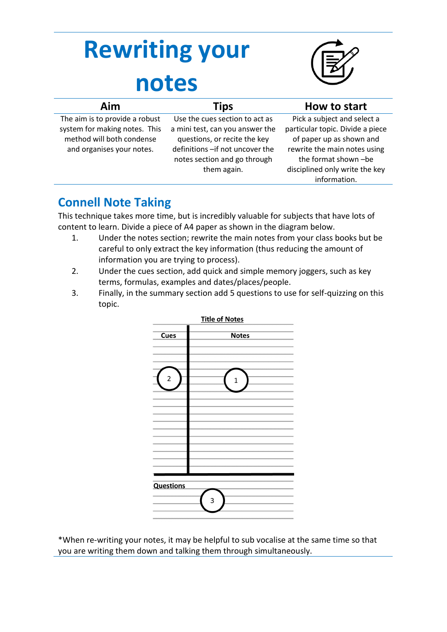# **Rewriting your notes**



| Aim                                                                                          | <b>Tips</b>                                                                                      | How to start                                                                     |
|----------------------------------------------------------------------------------------------|--------------------------------------------------------------------------------------------------|----------------------------------------------------------------------------------|
| The aim is to provide a robust<br>system for making notes. This<br>method will both condense | Use the cues section to act as<br>a mini test, can you answer the                                | Pick a subject and select a<br>particular topic. Divide a piece                  |
| and organises your notes.                                                                    | questions, or recite the key<br>definitions - if not uncover the<br>notes section and go through | of paper up as shown and<br>rewrite the main notes using<br>the format shown -be |
|                                                                                              | them again.                                                                                      | disciplined only write the key<br>information.                                   |

#### **Connell Note Taking**

This technique takes more time, but is incredibly valuable for subjects that have lots of content to learn. Divide a piece of A4 paper as shown in the diagram below.

- 1. Under the notes section; rewrite the main notes from your class books but be careful to only extract the key information (thus reducing the amount of information you are trying to process).
- 2. Under the cues section, add quick and simple memory joggers, such as key terms, formulas, examples and dates/places/people.
- 3. Finally, in the summary section add 5 questions to use for self-quizzing on this topic.



\*When re-writing your notes, it may be helpful to sub vocalise at the same time so that you are writing them down and talking them through simultaneously.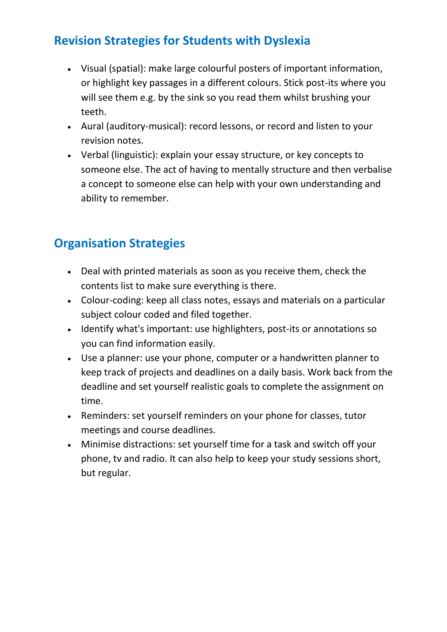#### **Revision Strategies for Students with Dyslexia**

- Visual (spatial): make large colourful posters of important information, or highlight key passages in a different colours. Stick post-its where you will see them e.g. by the sink so you read them whilst brushing your teeth.
- Aural (auditory-musical): record lessons, or record and listen to your revision notes.
- Verbal (linguistic): explain your essay structure, or key concepts to someone else. The act of having to mentally structure and then verbalise a concept to someone else can help with your own understanding and ability to remember.

#### **Organisation Strategies**

- Deal with printed materials as soon as you receive them, check the contents list to make sure everything is there.
- Colour-coding: keep all class notes, essays and materials on a particular subject colour coded and filed together.
- Identify what's important: use highlighters, post-its or annotations so you can find information easily.
- Use a planner: use your phone, computer or a handwritten planner to keep track of projects and deadlines on a daily basis. Work back from the deadline and set yourself realistic goals to complete the assignment on time.
- Reminders: set yourself reminders on your phone for classes, tutor meetings and course deadlines.
- Minimise distractions: set yourself time for a task and switch off your phone, tv and radio. It can also help to keep your study sessions short, but regular.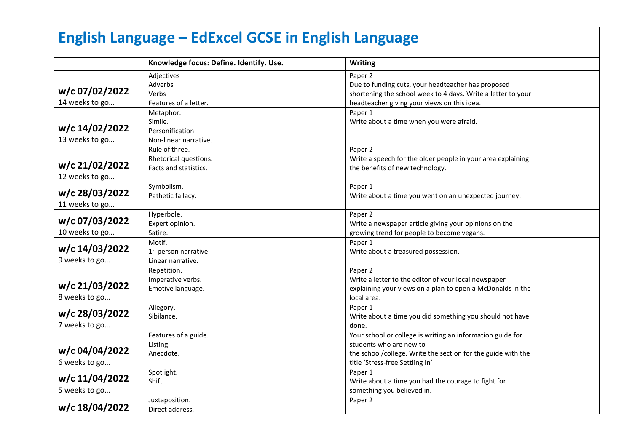| <b>English Language - EdExcel GCSE in English Language</b> |                                                                   |                                                                                                                                                                                          |  |
|------------------------------------------------------------|-------------------------------------------------------------------|------------------------------------------------------------------------------------------------------------------------------------------------------------------------------------------|--|
|                                                            | Knowledge focus: Define. Identify. Use.                           | <b>Writing</b>                                                                                                                                                                           |  |
| w/c 07/02/2022<br>14 weeks to go                           | Adjectives<br>Adverbs<br>Verbs<br>Features of a letter.           | Paper 2<br>Due to funding cuts, your headteacher has proposed<br>shortening the school week to 4 days. Write a letter to your<br>headteacher giving your views on this idea.             |  |
| w/c 14/02/2022<br>13 weeks to go                           | Metaphor.<br>Simile.<br>Personification.<br>Non-linear narrative. | Paper 1<br>Write about a time when you were afraid.                                                                                                                                      |  |
| w/c 21/02/2022<br>12 weeks to go                           | Rule of three.<br>Rhetorical questions.<br>Facts and statistics.  | Paper 2<br>Write a speech for the older people in your area explaining<br>the benefits of new technology.                                                                                |  |
| w/c 28/03/2022<br>11 weeks to go                           | Symbolism.<br>Pathetic fallacy.                                   | Paper 1<br>Write about a time you went on an unexpected journey.                                                                                                                         |  |
| w/c 07/03/2022<br>10 weeks to go                           | Hyperbole.<br>Expert opinion.<br>Satire.                          | Paper 2<br>Write a newspaper article giving your opinions on the<br>growing trend for people to become vegans.                                                                           |  |
| w/c 14/03/2022<br>9 weeks to go                            | Motif.<br>1 <sup>st</sup> person narrative.<br>Linear narrative.  | Paper 1<br>Write about a treasured possession.                                                                                                                                           |  |
| w/c 21/03/2022<br>8 weeks to go                            | Repetition.<br>Imperative verbs.<br>Emotive language.             | Paper <sub>2</sub><br>Write a letter to the editor of your local newspaper<br>explaining your views on a plan to open a McDonalds in the<br>local area.                                  |  |
| w/c 28/03/2022<br>7 weeks to go                            | Allegory.<br>Sibilance.                                           | Paper 1<br>Write about a time you did something you should not have<br>done.                                                                                                             |  |
| w/c 04/04/2022<br>6 weeks to go                            | Features of a guide.<br>Listing.<br>Anecdote.                     | Your school or college is writing an information guide for<br>students who are new to<br>the school/college. Write the section for the guide with the<br>title 'Stress-free Settling In' |  |
| w/c 11/04/2022<br>5 weeks to go                            | Spotlight.<br>Shift.                                              | Paper 1<br>Write about a time you had the courage to fight for<br>something you believed in.                                                                                             |  |
| w/c 18/04/2022                                             | Juxtaposition.<br>Direct address.                                 | Paper 2                                                                                                                                                                                  |  |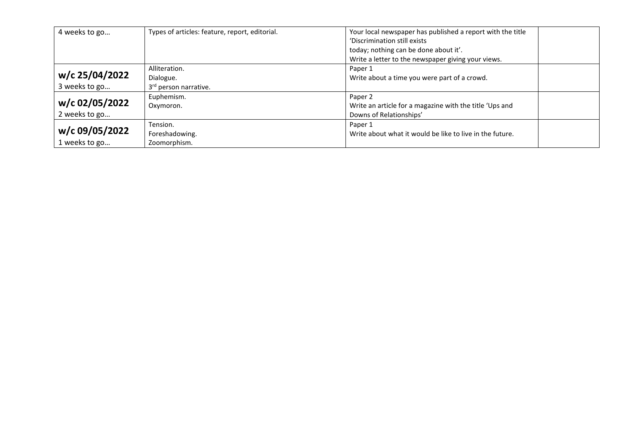| 4 weeks to go  | Types of articles: feature, report, editorial. | Your local newspaper has published a report with the title |
|----------------|------------------------------------------------|------------------------------------------------------------|
|                |                                                | 'Discrimination still exists                               |
|                |                                                | today; nothing can be done about it'.                      |
|                |                                                | Write a letter to the newspaper giving your views.         |
|                | Alliteration.                                  | Paper 1                                                    |
| w/c 25/04/2022 | Dialogue.                                      | Write about a time you were part of a crowd.               |
| 3 weeks to go  | 3rd person narrative.                          |                                                            |
|                | Euphemism.                                     | Paper <sub>2</sub>                                         |
| w/c 02/05/2022 | Oxymoron.                                      | Write an article for a magazine with the title 'Ups and    |
| 2 weeks to go  |                                                | Downs of Relationships'                                    |
|                | Tension.                                       | Paper 1                                                    |
| w/c 09/05/2022 | Foreshadowing.                                 | Write about what it would be like to live in the future.   |
| 1 weeks to go  | Zoomorphism.                                   |                                                            |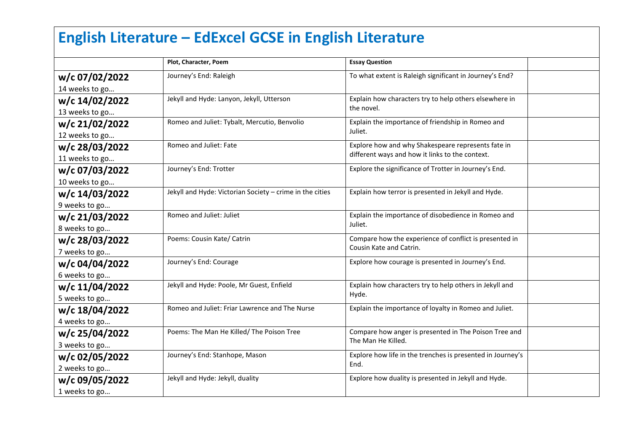# **English Literature – EdExcel GCSE in English Literature**

|                | Plot, Character, Poem                                    | <b>Essay Question</b>                                      |  |
|----------------|----------------------------------------------------------|------------------------------------------------------------|--|
| w/c 07/02/2022 | Journey's End: Raleigh                                   | To what extent is Raleigh significant in Journey's End?    |  |
| 14 weeks to go |                                                          |                                                            |  |
| w/c 14/02/2022 | Jekyll and Hyde: Lanyon, Jekyll, Utterson                | Explain how characters try to help others elsewhere in     |  |
| 13 weeks to go |                                                          | the novel.                                                 |  |
| w/c 21/02/2022 | Romeo and Juliet: Tybalt, Mercutio, Benvolio             | Explain the importance of friendship in Romeo and          |  |
| 12 weeks to go |                                                          | Juliet.                                                    |  |
| w/c 28/03/2022 | Romeo and Juliet: Fate                                   | Explore how and why Shakespeare represents fate in         |  |
| 11 weeks to go |                                                          | different ways and how it links to the context.            |  |
| w/c 07/03/2022 | Journey's End: Trotter                                   | Explore the significance of Trotter in Journey's End.      |  |
| 10 weeks to go |                                                          |                                                            |  |
| w/c 14/03/2022 | Jekyll and Hyde: Victorian Society - crime in the cities | Explain how terror is presented in Jekyll and Hyde.        |  |
| 9 weeks to go  |                                                          |                                                            |  |
| w/c 21/03/2022 | Romeo and Juliet: Juliet                                 | Explain the importance of disobedience in Romeo and        |  |
| 8 weeks to go  |                                                          | Juliet.                                                    |  |
| w/c 28/03/2022 | Poems: Cousin Kate/ Catrin                               | Compare how the experience of conflict is presented in     |  |
| 7 weeks to go  |                                                          | Cousin Kate and Catrin.                                    |  |
| w/c 04/04/2022 | Journey's End: Courage                                   | Explore how courage is presented in Journey's End.         |  |
| 6 weeks to go  |                                                          |                                                            |  |
| w/c 11/04/2022 | Jekyll and Hyde: Poole, Mr Guest, Enfield                | Explain how characters try to help others in Jekyll and    |  |
| 5 weeks to go  |                                                          | Hyde.                                                      |  |
| w/c 18/04/2022 | Romeo and Juliet: Friar Lawrence and The Nurse           | Explain the importance of loyalty in Romeo and Juliet.     |  |
| 4 weeks to go  |                                                          |                                                            |  |
| w/c 25/04/2022 | Poems: The Man He Killed/ The Poison Tree                | Compare how anger is presented in The Poison Tree and      |  |
| 3 weeks to go  |                                                          | The Man He Killed.                                         |  |
| w/c 02/05/2022 | Journey's End: Stanhope, Mason                           | Explore how life in the trenches is presented in Journey's |  |
| 2 weeks to go  |                                                          | End.                                                       |  |
| w/c 09/05/2022 | Jekyll and Hyde: Jekyll, duality                         | Explore how duality is presented in Jekyll and Hyde.       |  |
| 1 weeks to go  |                                                          |                                                            |  |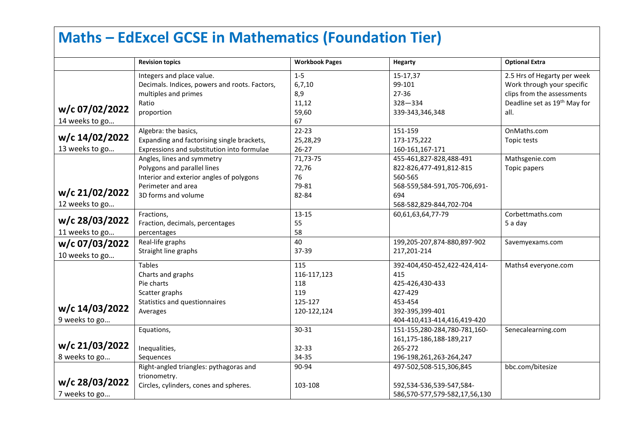## **Maths – EdExcel GCSE in Mathematics (Foundation Tier)**

|                | <b>Revision topics</b>                        | <b>Workbook Pages</b> | <b>Hegarty</b>                | <b>Optional Extra</b>                    |
|----------------|-----------------------------------------------|-----------------------|-------------------------------|------------------------------------------|
|                | Integers and place value.                     | $1 - 5$               | 15-17,37                      | 2.5 Hrs of Hegarty per week              |
|                | Decimals. Indices, powers and roots. Factors, | 6,7,10                | 99-101                        | Work through your specific               |
|                | multiples and primes                          | 8,9                   | 27-36                         | clips from the assessments               |
|                | Ratio                                         | 11,12                 | $328 - 334$                   | Deadline set as 19 <sup>th</sup> May for |
| w/c 07/02/2022 | proportion                                    | 59,60                 | 339-343,346,348               | all.                                     |
| 14 weeks to go |                                               | 67                    |                               |                                          |
|                | Algebra: the basics,                          | $22 - 23$             | 151-159                       | OnMaths.com                              |
| w/c 14/02/2022 | Expanding and factorising single brackets,    | 25,28,29              | 173-175,222                   | Topic tests                              |
| 13 weeks to go | Expressions and substitution into formulae    | $26 - 27$             | 160-161,167-171               |                                          |
|                | Angles, lines and symmetry                    | 71,73-75              | 455-461,827-828,488-491       | Mathsgenie.com                           |
|                | Polygons and parallel lines                   | 72,76                 | 822-826,477-491,812-815       | Topic papers                             |
|                | Interior and exterior angles of polygons      | 76                    | 560-565                       |                                          |
|                | Perimeter and area                            | 79-81                 | 568-559,584-591,705-706,691-  |                                          |
| w/c 21/02/2022 | 3D forms and volume                           | 82-84                 | 694                           |                                          |
| 12 weeks to go |                                               |                       | 568-582,829-844,702-704       |                                          |
|                | Fractions,                                    | 13-15                 | 60,61,63,64,77-79             | Corbettmaths.com                         |
| w/c 28/03/2022 | Fraction, decimals, percentages               | 55                    |                               | 5 a day                                  |
| 11 weeks to go | percentages                                   | 58                    |                               |                                          |
| w/c 07/03/2022 | Real-life graphs                              | 40                    | 199,205-207,874-880,897-902   | Savemyexams.com                          |
| 10 weeks to go | Straight line graphs                          | 37-39                 | 217,201-214                   |                                          |
|                | <b>Tables</b>                                 | 115                   | 392-404,450-452,422-424,414-  | Maths4 everyone.com                      |
|                | Charts and graphs                             | 116-117,123           | 415                           |                                          |
|                | Pie charts                                    | 118                   | 425-426,430-433               |                                          |
|                | Scatter graphs                                | 119                   | 427-429                       |                                          |
|                | Statistics and questionnaires                 | 125-127               | 453-454                       |                                          |
| w/c 14/03/2022 | Averages                                      | 120-122,124           | 392-395,399-401               |                                          |
| 9 weeks to go  |                                               |                       | 404-410,413-414,416,419-420   |                                          |
|                | Equations,                                    | 30-31                 | 151-155,280-284,780-781,160-  | Senecalearning.com                       |
|                |                                               |                       | 161,175-186,188-189,217       |                                          |
| w/c 21/03/2022 | Inequalities,                                 | 32-33                 | 265-272                       |                                          |
| 8 weeks to go  | Sequences                                     | 34-35                 | 196-198,261,263-264,247       |                                          |
|                | Right-angled triangles: pythagoras and        | 90-94                 | 497-502,508-515,306,845       | bbc.com/bitesize                         |
|                | trionometry.                                  |                       |                               |                                          |
| w/c 28/03/2022 | Circles, cylinders, cones and spheres.        | 103-108               | 592,534-536,539-547,584-      |                                          |
| 7 weeks to go  |                                               |                       | 586,570-577,579-582,17,56,130 |                                          |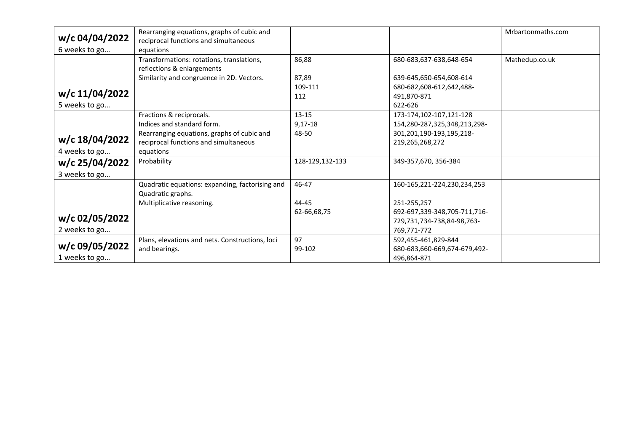|                | Rearranging equations, graphs of cubic and      |                 |                              | Mrbartonmaths.com |
|----------------|-------------------------------------------------|-----------------|------------------------------|-------------------|
| w/c 04/04/2022 | reciprocal functions and simultaneous           |                 |                              |                   |
| 6 weeks to go  | equations                                       |                 |                              |                   |
|                | Transformations: rotations, translations,       | 86,88           | 680-683,637-638,648-654      | Mathedup.co.uk    |
|                | reflections & enlargements                      |                 |                              |                   |
|                | Similarity and congruence in 2D. Vectors.       | 87,89           | 639-645,650-654,608-614      |                   |
|                |                                                 | 109-111         | 680-682,608-612,642,488-     |                   |
| w/c 11/04/2022 |                                                 | 112             | 491.870-871                  |                   |
| 5 weeks to go  |                                                 |                 | 622-626                      |                   |
|                | Fractions & reciprocals.                        | $13 - 15$       | 173-174,102-107,121-128      |                   |
|                | Indices and standard form.                      | $9,17-18$       | 154,280-287,325,348,213,298- |                   |
|                | Rearranging equations, graphs of cubic and      | 48-50           | 301,201,190-193,195,218-     |                   |
| w/c 18/04/2022 | reciprocal functions and simultaneous           |                 | 219,265,268,272              |                   |
| 4 weeks to go  | equations                                       |                 |                              |                   |
| w/c 25/04/2022 | Probability                                     | 128-129,132-133 | 349-357,670, 356-384         |                   |
| 3 weeks to go  |                                                 |                 |                              |                   |
|                | Quadratic equations: expanding, factorising and | 46-47           | 160-165,221-224,230,234,253  |                   |
|                | Quadratic graphs.                               |                 |                              |                   |
|                | Multiplicative reasoning.                       | 44-45           | 251-255,257                  |                   |
|                |                                                 | 62-66,68,75     | 692-697,339-348,705-711,716- |                   |
| w/c 02/05/2022 |                                                 |                 | 729,731,734-738,84-98,763-   |                   |
| 2 weeks to go  |                                                 |                 | 769,771-772                  |                   |
|                | Plans, elevations and nets. Constructions, loci | 97              | 592,455-461,829-844          |                   |
| w/c 09/05/2022 | and bearings.                                   | 99-102          | 680-683,660-669,674-679,492- |                   |
| 1 weeks to go  |                                                 |                 | 496,864-871                  |                   |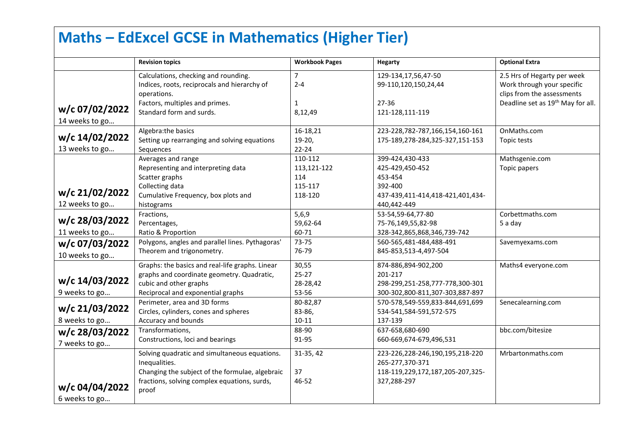## **Maths – EdExcel GCSE in Mathematics (Higher Tier)**

|                                  | <b>Revision topics</b>                                                                                                                                                     | <b>Workbook Pages</b>                               | Hegarty                                                                                                     | <b>Optional Extra</b>                                                                   |
|----------------------------------|----------------------------------------------------------------------------------------------------------------------------------------------------------------------------|-----------------------------------------------------|-------------------------------------------------------------------------------------------------------------|-----------------------------------------------------------------------------------------|
|                                  | Calculations, checking and rounding.<br>Indices, roots, reciprocals and hierarchy of<br>operations.                                                                        | $\overline{7}$<br>$2 - 4$                           | 129-134,17,56,47-50<br>99-110,120,150,24,44                                                                 | 2.5 Hrs of Hegarty per week<br>Work through your specific<br>clips from the assessments |
| w/c 07/02/2022<br>14 weeks to go | Factors, multiples and primes.<br>Standard form and surds.                                                                                                                 | $\mathbf{1}$<br>8,12,49                             | 27-36<br>121-128,111-119                                                                                    | Deadline set as 19 <sup>th</sup> May for all.                                           |
| w/c 14/02/2022<br>13 weeks to go | Algebra:the basics<br>Setting up rearranging and solving equations<br>Sequences                                                                                            | 16-18,21<br>19-20,<br>$22 - 24$                     | 223-228,782-787,166,154,160-161<br>175-189,278-284,325-327,151-153                                          | OnMaths.com<br>Topic tests                                                              |
| w/c 21/02/2022<br>12 weeks to go | Averages and range<br>Representing and interpreting data<br>Scatter graphs<br>Collecting data<br>Cumulative Frequency, box plots and<br>histograms                         | 110-112<br>113,121-122<br>114<br>115-117<br>118-120 | 399-424,430-433<br>425-429,450-452<br>453-454<br>392-400<br>437-439,411-414,418-421,401,434-<br>440,442-449 | Mathsgenie.com<br>Topic papers                                                          |
| w/c 28/03/2022<br>11 weeks to go | Fractions,<br>Percentages,<br>Ratio & Proportion                                                                                                                           | 5,6,9<br>59,62-64<br>60-71                          | 53-54,59-64,77-80<br>75-76,149,55,82-98<br>328-342,865,868,346,739-742                                      | Corbettmaths.com<br>5 a day                                                             |
| w/c 07/03/2022<br>10 weeks to go | Polygons, angles and parallel lines. Pythagoras'<br>Theorem and trigonometry.                                                                                              | $73 - 75$<br>76-79                                  | 560-565,481-484,488-491<br>845-853,513-4,497-504                                                            | Savemyexams.com                                                                         |
| w/c 14/03/2022<br>9 weeks to go  | Graphs: the basics and real-life graphs. Linear<br>graphs and coordinate geometry. Quadratic,<br>cubic and other graphs<br>Reciprocal and exponential graphs               | 30,55<br>$25 - 27$<br>28-28,42<br>53-56             | 874-886,894-902,200<br>201-217<br>298-299,251-258,777-778,300-301<br>300-302,800-811,307-303,887-897        | Maths4 everyone.com                                                                     |
| w/c 21/03/2022<br>8 weeks to go  | Perimeter, area and 3D forms<br>Circles, cylinders, cones and spheres<br>Accuracy and bounds                                                                               | 80-82,87<br>83-86,<br>$10 - 11$                     | 570-578,549-559,833-844,691,699<br>534-541,584-591,572-575<br>137-139                                       | Senecalearning.com                                                                      |
| w/c 28/03/2022<br>7 weeks to go  | Transformations,<br>Constructions, loci and bearings                                                                                                                       | 88-90<br>91-95                                      | 637-658,680-690<br>660-669,674-679,496,531                                                                  | bbc.com/bitesize                                                                        |
| w/c 04/04/2022<br>6 weeks to go  | Solving quadratic and simultaneous equations.<br>Inequalities.<br>Changing the subject of the formulae, algebraic<br>fractions, solving complex equations, surds,<br>proof | 31-35, 42<br>37<br>46-52                            | 223-226,228-246,190,195,218-220<br>265-277,370-371<br>118-119,229,172,187,205-207,325-<br>327,288-297       | Mrbartonmaths.com                                                                       |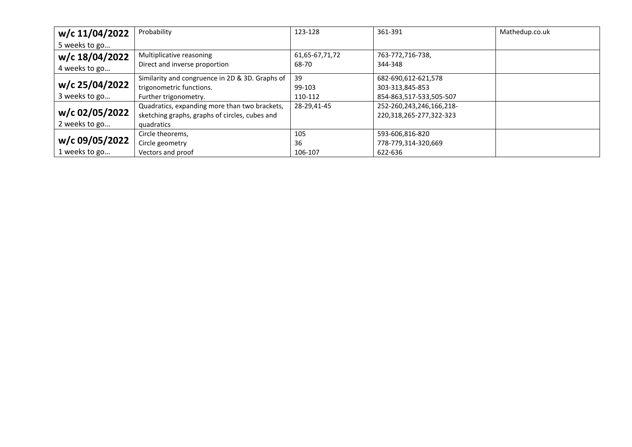| w/c 11/04/2022 | Probability                                     | 123-128        | 361-391                  | Mathedup.co.uk |
|----------------|-------------------------------------------------|----------------|--------------------------|----------------|
| 5 weeks to go  |                                                 |                |                          |                |
| w/c 18/04/2022 | Multiplicative reasoning                        | 61,65-67,71,72 | 763-772,716-738,         |                |
| 4 weeks to go  | Direct and inverse proportion                   | 68-70          | 344-348                  |                |
|                | Similarity and congruence in 2D & 3D. Graphs of | 39             | 682-690,612-621,578      |                |
| w/c 25/04/2022 | trigonometric functions.                        | 99-103         | 303-313,845-853          |                |
| 3 weeks to go  | Further trigonometry.                           | 110-112        | 854-863,517-533,505-507  |                |
|                | Quadratics, expanding more than two brackets,   | 28-29.41-45    | 252-260,243,246,166,218- |                |
| w/c 02/05/2022 | sketching graphs, graphs of circles, cubes and  |                | 220,318,265-277,322-323  |                |
| 2 weeks to go  | quadratics                                      |                |                          |                |
|                | Circle theorems,                                | 105            | 593-606,816-820          |                |
| w/c 09/05/2022 | Circle geometry                                 | 36             | 778-779,314-320,669      |                |
| 1 weeks to go  | Vectors and proof                               | 106-107        | 622-636                  |                |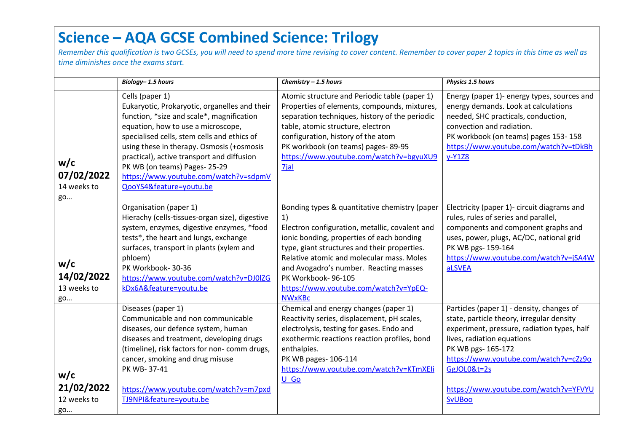### **Science – AQA GCSE Combined Science: Trilogy**

*Remember this qualification is two GCSEs, you will need to spend more time revising to cover content. Remember to cover paper 2 topics in this time as well as time diminishes once the exams start.*

|                                        | Biology-1.5 hours                                                                                                                                                                                                                                                                                                                                                                                 | Chemistry $-1.5$ hours                                                                                                                                                                                                                                                                                                                                                    | Physics 1.5 hours                                                                                                                                                                                                                                                                                           |
|----------------------------------------|---------------------------------------------------------------------------------------------------------------------------------------------------------------------------------------------------------------------------------------------------------------------------------------------------------------------------------------------------------------------------------------------------|---------------------------------------------------------------------------------------------------------------------------------------------------------------------------------------------------------------------------------------------------------------------------------------------------------------------------------------------------------------------------|-------------------------------------------------------------------------------------------------------------------------------------------------------------------------------------------------------------------------------------------------------------------------------------------------------------|
| w/c<br>07/02/2022<br>14 weeks to<br>go | Cells (paper 1)<br>Eukaryotic, Prokaryotic, organelles and their<br>function, *size and scale*, magnification<br>equation, how to use a microscope,<br>specialised cells, stem cells and ethics of<br>using these in therapy. Osmosis (+osmosis<br>practical), active transport and diffusion<br>PK WB (on teams) Pages-25-29<br>https://www.youtube.com/watch?v=sdpmV<br>QooYS4&feature=youtu.be | Atomic structure and Periodic table (paper 1)<br>Properties of elements, compounds, mixtures,<br>separation techniques, history of the periodic<br>table, atomic structure, electron<br>configuration, history of the atom<br>PK workbook (on teams) pages-89-95<br>https://www.youtube.com/watch?v=bgyuXU9<br>7jal                                                       | Energy (paper 1)- energy types, sources and<br>energy demands. Look at calculations<br>needed, SHC practicals, conduction,<br>convection and radiation.<br>PK workbook (on teams) pages 153-158<br>https://www.youtube.com/watch?v=tDkBh<br>$y-Y1Z8$                                                        |
| w/c<br>14/02/2022<br>13 weeks to<br>go | Organisation (paper 1)<br>Hierachy (cells-tissues-organ size), digestive<br>system, enzymes, digestive enzymes, *food<br>tests*, the heart and lungs, exchange<br>surfaces, transport in plants (xylem and<br>phloem)<br>PK Workbook-30-36<br>https://www.youtube.com/watch?v=DJ0IZG<br>kDx6A&feature=youtu.be                                                                                    | Bonding types & quantitative chemistry (paper<br>1)<br>Electron configuration, metallic, covalent and<br>ionic bonding, properties of each bonding<br>type, giant structures and their properties.<br>Relative atomic and molecular mass. Moles<br>and Avogadro's number. Reacting masses<br>PK Workbook-96-105<br>https://www.youtube.com/watch?v=YpEQ-<br><b>NWxKBc</b> | Electricity (paper 1)- circuit diagrams and<br>rules, rules of series and parallel,<br>components and component graphs and<br>uses, power, plugs, AC/DC, national grid<br>PK WB pgs- 159-164<br>https://www.youtube.com/watch?v=jSA4W<br>aLSVEA                                                             |
| w/c<br>21/02/2022<br>12 weeks to<br>go | Diseases (paper 1)<br>Communicable and non communicable<br>diseases, our defence system, human<br>diseases and treatment, developing drugs<br>(timeline), risk factors for non- comm drugs,<br>cancer, smoking and drug misuse<br>PK WB-37-41<br>https://www.youtube.com/watch?v=m7pxd<br>TJ9NPI&feature=youtu.be                                                                                 | Chemical and energy changes (paper 1)<br>Reactivity series, displacement, pH scales,<br>electrolysis, testing for gases. Endo and<br>exothermic reactions reaction profiles, bond<br>enthalpies.<br>PK WB pages-106-114<br>https://www.youtube.com/watch?v=KTmXEIi<br>U Go                                                                                                | Particles (paper 1) - density, changes of<br>state, particle theory, irregular density<br>experiment, pressure, radiation types, half<br>lives, radiation equations<br>PK WB pgs- 165-172<br>https://www.youtube.com/watch?v=cZz9o<br>GgJOL0&t=2s<br>https://www.youtube.com/watch?v=YFVYU<br><b>SvUBoo</b> |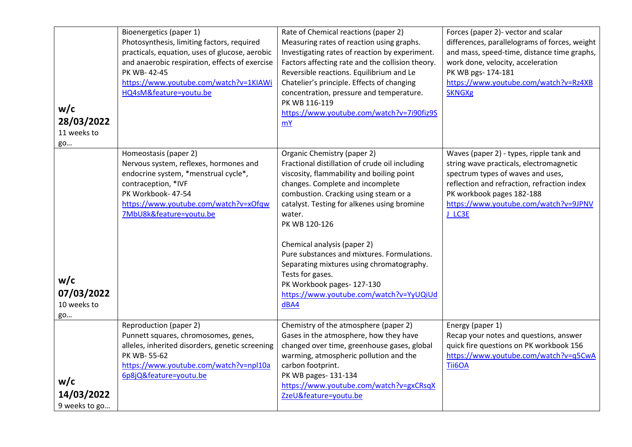| w/c<br>28/03/2022<br>11 weeks to<br>go | Bioenergetics (paper 1)<br>Photosynthesis, limiting factors, required<br>practicals, equation, uses of glucose, aerobic<br>and anaerobic respiration, effects of exercise<br>PK WB-42-45<br>https://www.youtube.com/watch?v=1KIAWi<br>HQ4sM&feature=youtu.be | Rate of Chemical reactions (paper 2)<br>Measuring rates of reaction using graphs.<br>Investigating rates of reaction by experiment.<br>Factors affecting rate and the collision theory.<br>Reversible reactions. Equilibrium and Le<br>Chatelier's principle. Effects of changing<br>concentration, pressure and temperature.<br>PK WB 116-119<br>https://www.youtube.com/watch?v=7i90fiz9S<br><b>mY</b>                                                                                                         | Forces (paper 2)- vector and scalar<br>differences, parallelograms of forces, weight<br>and mass, speed-time, distance time graphs,<br>work done, velocity, acceleration<br>PK WB pgs- 174-181<br>https://www.youtube.com/watch?v=Rz4XB<br><b>SKNGXg</b> |
|----------------------------------------|--------------------------------------------------------------------------------------------------------------------------------------------------------------------------------------------------------------------------------------------------------------|------------------------------------------------------------------------------------------------------------------------------------------------------------------------------------------------------------------------------------------------------------------------------------------------------------------------------------------------------------------------------------------------------------------------------------------------------------------------------------------------------------------|----------------------------------------------------------------------------------------------------------------------------------------------------------------------------------------------------------------------------------------------------------|
| w/c<br>07/03/2022<br>10 weeks to<br>go | Homeostasis (paper 2)<br>Nervous system, reflexes, hormones and<br>endocrine system, *menstrual cycle*,<br>contraception, *IVF<br>PK Workbook- 47-54<br>https://www.youtube.com/watch?v=xOfqw<br>7MbU8k&feature=youtu.be                                     | Organic Chemistry (paper 2)<br>Fractional distillation of crude oil including<br>viscosity, flammability and boiling point<br>changes. Complete and incomplete<br>combustion. Cracking using steam or a<br>catalyst. Testing for alkenes using bromine<br>water.<br>PK WB 120-126<br>Chemical analysis (paper 2)<br>Pure substances and mixtures. Formulations.<br>Separating mixtures using chromatography.<br>Tests for gases.<br>PK Workbook pages-127-130<br>https://www.youtube.com/watch?v=YyUQiUd<br>dBA4 | Waves (paper 2) - types, ripple tank and<br>string wave practicals, electromagnetic<br>spectrum types of waves and uses,<br>reflection and refraction, refraction index<br>PK workbook pages 182-188<br>https://www.youtube.com/watch?v=9JPNV<br>J_LC3E  |
| w/c<br>14/03/2022<br>9 weeks to go     | Reproduction (paper 2)<br>Punnett squares, chromosomes, genes,<br>alleles, inherited disorders, genetic screening<br>PK WB-55-62<br>https://www.youtube.com/watch?v=npl10a<br>6p8jQ&feature=youtu.be                                                         | Chemistry of the atmosphere (paper 2)<br>Gases in the atmosphere, how they have<br>changed over time, greenhouse gases, global<br>warming, atmospheric pollution and the<br>carbon footprint.<br>PK WB pages- 131-134<br>https://www.youtube.com/watch?v=gxCRsqX<br>ZzeU&feature=youtu.be                                                                                                                                                                                                                        | Energy (paper 1)<br>Recap your notes and questions, answer<br>quick fire questions on PK workbook 156<br>https://www.youtube.com/watch?v=q5CwA<br>Tii6OA                                                                                                 |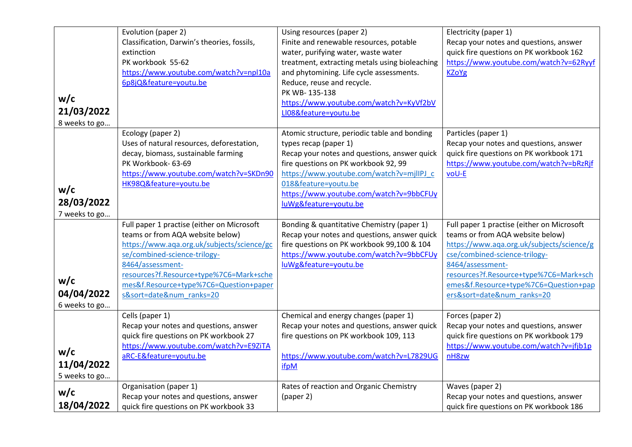| w/c                                                 | Evolution (paper 2)<br>Classification, Darwin's theories, fossils,<br>extinction<br>PK workbook 55-62<br>https://www.youtube.com/watch?v=npl10a<br>6p8jQ&feature=youtu.be                                                                                                                      | Using resources (paper 2)<br>Finite and renewable resources, potable<br>water, purifying water, waste water<br>treatment, extracting metals using bioleaching<br>and phytomining. Life cycle assessments.<br>Reduce, reuse and recycle.<br>PK WB-135-138                                              | Electricity (paper 1)<br>Recap your notes and questions, answer<br>quick fire questions on PK workbook 162<br>https://www.youtube.com/watch?v=62Ryyf<br><b>KZoYg</b>                                                                                                                           |
|-----------------------------------------------------|------------------------------------------------------------------------------------------------------------------------------------------------------------------------------------------------------------------------------------------------------------------------------------------------|-------------------------------------------------------------------------------------------------------------------------------------------------------------------------------------------------------------------------------------------------------------------------------------------------------|------------------------------------------------------------------------------------------------------------------------------------------------------------------------------------------------------------------------------------------------------------------------------------------------|
| 21/03/2022                                          |                                                                                                                                                                                                                                                                                                | https://www.youtube.com/watch?v=KyVf2bV<br>LI08&feature=youtu.be                                                                                                                                                                                                                                      |                                                                                                                                                                                                                                                                                                |
| 8 weeks to go<br>w/c<br>28/03/2022<br>7 weeks to go | Ecology (paper 2)<br>Uses of natural resources, deforestation,<br>decay, biomass, sustainable farming<br>PK Workbook- 63-69<br>https://www.youtube.com/watch?v=SKDn90<br>HK98Q&feature=youtu.be                                                                                                | Atomic structure, periodic table and bonding<br>types recap (paper 1)<br>Recap your notes and questions, answer quick<br>fire questions on PK workbook 92, 99<br>https://www.youtube.com/watch?v=mjlIPJ_c<br>018&feature=youtu.be<br>https://www.youtube.com/watch?v=9bbCFUy<br>luWg&feature=youtu.be | Particles (paper 1)<br>Recap your notes and questions, answer<br>quick fire questions on PK workbook 171<br>https://www.youtube.com/watch?v=bRzRjf<br>voU-E                                                                                                                                    |
| w/c<br>04/04/2022<br>6 weeks to go                  | Full paper 1 practise (either on Microsoft<br>teams or from AQA website below)<br>https://www.aqa.org.uk/subjects/science/gc<br>se/combined-science-trilogy-<br>8464/assessment-<br>resources?f.Resource+type%7C6=Mark+sche<br>mes&f.Resource+type%7C6=Question+paper<br>s&sort=date# ranks=20 | Bonding & quantitative Chemistry (paper 1)<br>Recap your notes and questions, answer quick<br>fire questions on PK workbook 99,100 & 104<br>https://www.youtube.com/watch?v=9bbCFUy<br>luWg&feature=youtu.be                                                                                          | Full paper 1 practise (either on Microsoft<br>teams or from AQA website below)<br>https://www.aqa.org.uk/subjects/science/g<br>cse/combined-science-trilogy-<br>8464/assessment-<br>resources?f.Resource+type%7C6=Mark+sch<br>emes&f.Resource+type%7C6=Question+pap<br>ers&sort=date# ranks=20 |
| w/c<br>11/04/2022<br>5 weeks to go<br>w/c           | Cells (paper 1)<br>Recap your notes and questions, answer<br>quick fire questions on PK workbook 27<br>https://www.youtube.com/watch?v=E9ZiTA<br>aRC-E&feature=youtu.be<br>Organisation (paper 1)                                                                                              | Chemical and energy changes (paper 1)<br>Recap your notes and questions, answer quick<br>fire questions on PK workbook 109, 113<br>https://www.youtube.com/watch?v=L7829UG<br>ifpM<br>Rates of reaction and Organic Chemistry                                                                         | Forces (paper 2)<br>Recap your notes and questions, answer<br>quick fire questions on PK workbook 179<br>https://www.youtube.com/watch?v=jfjb1p<br>nH8zw<br>Waves (paper 2)                                                                                                                    |
| 18/04/2022                                          | Recap your notes and questions, answer<br>quick fire questions on PK workbook 33                                                                                                                                                                                                               | (paper 2)                                                                                                                                                                                                                                                                                             | Recap your notes and questions, answer<br>quick fire questions on PK workbook 186                                                                                                                                                                                                              |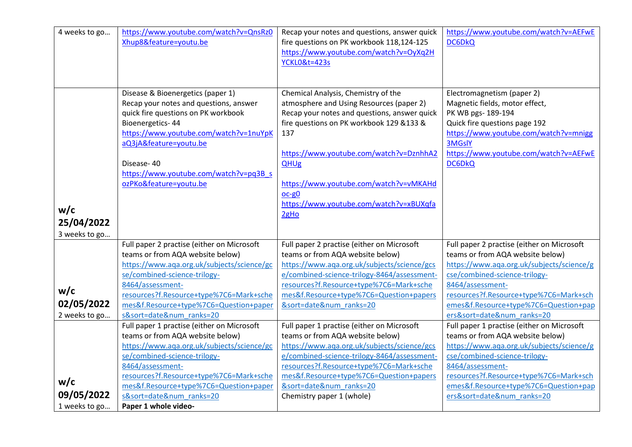| 4 weeks to go     | https://www.youtube.com/watch?v=QnsRz0<br>Xhup8&feature=youtu.be                                                                                                                                                                                                                             | Recap your notes and questions, answer quick<br>fire questions on PK workbook 118,124-125<br>https://www.youtube.com/watch?v=OyXq2H                                                                                                                                                                                                         | https://www.youtube.com/watch?v=AEFwE<br><b>DC6DkQ</b>                                                                                                                                                                                  |
|-------------------|----------------------------------------------------------------------------------------------------------------------------------------------------------------------------------------------------------------------------------------------------------------------------------------------|---------------------------------------------------------------------------------------------------------------------------------------------------------------------------------------------------------------------------------------------------------------------------------------------------------------------------------------------|-----------------------------------------------------------------------------------------------------------------------------------------------------------------------------------------------------------------------------------------|
|                   |                                                                                                                                                                                                                                                                                              | <b>YCKL0&amp;t=423s</b>                                                                                                                                                                                                                                                                                                                     |                                                                                                                                                                                                                                         |
|                   |                                                                                                                                                                                                                                                                                              |                                                                                                                                                                                                                                                                                                                                             |                                                                                                                                                                                                                                         |
| w/c<br>25/04/2022 | Disease & Bioenergetics (paper 1)<br>Recap your notes and questions, answer<br>quick fire questions on PK workbook<br>Bioenergetics-44<br>https://www.youtube.com/watch?v=1nuYpK<br>aQ3jA&feature=youtu.be<br>Disease-40<br>https://www.youtube.com/watch?v=pq3B s<br>ozPKo&feature=youtu.be | Chemical Analysis, Chemistry of the<br>atmosphere and Using Resources (paper 2)<br>Recap your notes and questions, answer quick<br>fire questions on PK workbook 129 &133 &<br>137<br>https://www.youtube.com/watch?v=DznhhA2<br>QHUg<br>https://www.youtube.com/watch?v=vMKAHd<br>oc-g0<br>https://www.youtube.com/watch?v=xBUXqfa<br>2gHo | Electromagnetism (paper 2)<br>Magnetic fields, motor effect,<br>PK WB pgs- 189-194<br>Quick fire questions page 192<br>https://www.youtube.com/watch?v=mnigg<br><b>3MGslY</b><br>https://www.youtube.com/watch?v=AEFwE<br><b>DC6DkQ</b> |
| 3 weeks to go     | Full paper 2 practise (either on Microsoft                                                                                                                                                                                                                                                   | Full paper 2 practise (either on Microsoft                                                                                                                                                                                                                                                                                                  | Full paper 2 practise (either on Microsoft                                                                                                                                                                                              |
|                   | teams or from AQA website below)<br>https://www.aqa.org.uk/subjects/science/gc                                                                                                                                                                                                               | teams or from AQA website below)<br>https://www.aqa.org.uk/subjects/science/gcs                                                                                                                                                                                                                                                             | teams or from AQA website below)<br>https://www.aqa.org.uk/subjects/science/g                                                                                                                                                           |
|                   | se/combined-science-trilogy-                                                                                                                                                                                                                                                                 | e/combined-science-trilogy-8464/assessment-                                                                                                                                                                                                                                                                                                 | cse/combined-science-trilogy-                                                                                                                                                                                                           |
|                   | 8464/assessment-                                                                                                                                                                                                                                                                             | resources?f.Resource+type%7C6=Mark+sche                                                                                                                                                                                                                                                                                                     | 8464/assessment-                                                                                                                                                                                                                        |
| w/c               | resources?f.Resource+type%7C6=Mark+sche                                                                                                                                                                                                                                                      | mes&f.Resource+type%7C6=Question+papers                                                                                                                                                                                                                                                                                                     | resources?f.Resource+type%7C6=Mark+sch                                                                                                                                                                                                  |
| 02/05/2022        | mes&f.Resource+type%7C6=Question+paper                                                                                                                                                                                                                                                       | &sort=date# ranks=20                                                                                                                                                                                                                                                                                                                        | emes&f.Resource+type%7C6=Question+pap                                                                                                                                                                                                   |
| 2 weeks to go     | s&sort=date# ranks=20                                                                                                                                                                                                                                                                        |                                                                                                                                                                                                                                                                                                                                             | ers&sort=date# ranks=20                                                                                                                                                                                                                 |
|                   | Full paper 1 practise (either on Microsoft<br>teams or from AQA website below)                                                                                                                                                                                                               | Full paper 1 practise (either on Microsoft<br>teams or from AQA website below)                                                                                                                                                                                                                                                              | Full paper 1 practise (either on Microsoft<br>teams or from AQA website below)                                                                                                                                                          |
|                   | https://www.aqa.org.uk/subjects/science/gc                                                                                                                                                                                                                                                   | https://www.aqa.org.uk/subjects/science/gcs                                                                                                                                                                                                                                                                                                 | https://www.aqa.org.uk/subjects/science/g                                                                                                                                                                                               |
|                   | se/combined-science-trilogy-                                                                                                                                                                                                                                                                 | e/combined-science-trilogy-8464/assessment-                                                                                                                                                                                                                                                                                                 | cse/combined-science-trilogy-                                                                                                                                                                                                           |
|                   | 8464/assessment-                                                                                                                                                                                                                                                                             | resources?f.Resource+type%7C6=Mark+sche                                                                                                                                                                                                                                                                                                     | 8464/assessment-                                                                                                                                                                                                                        |
|                   | resources?f.Resource+type%7C6=Mark+sche                                                                                                                                                                                                                                                      | mes&f.Resource+type%7C6=Question+papers                                                                                                                                                                                                                                                                                                     | resources?f.Resource+type%7C6=Mark+sch                                                                                                                                                                                                  |
| w/c               | mes&f.Resource+type%7C6=Question+paper                                                                                                                                                                                                                                                       | &sort=date# ranks=20                                                                                                                                                                                                                                                                                                                        | emes&f.Resource+type%7C6=Question+pap                                                                                                                                                                                                   |
| 09/05/2022        | s&sort=date# ranks=20                                                                                                                                                                                                                                                                        | Chemistry paper 1 (whole)                                                                                                                                                                                                                                                                                                                   | ers&sort=date# ranks=20                                                                                                                                                                                                                 |
| 1 weeks to go     | Paper 1 whole video-                                                                                                                                                                                                                                                                         |                                                                                                                                                                                                                                                                                                                                             |                                                                                                                                                                                                                                         |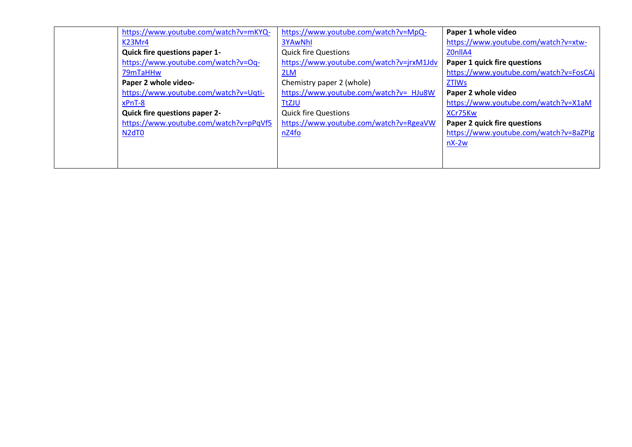| https://www.youtube.com/watch?v=mKYQ-  | https://www.youtube.com/watch?v=MpQ-     | Paper 1 whole video                    |
|----------------------------------------|------------------------------------------|----------------------------------------|
| K23Mr4                                 | <b>3YAwNhl</b>                           | https://www.youtube.com/watch?v=xtw-   |
| <b>Quick fire questions paper 1-</b>   | <b>Quick fire Questions</b>              | Z0nllA4                                |
| https://www.youtube.com/watch?v=Oq-    | https://www.youtube.com/watch?v=jrxM1Jdv | Paper 1 quick fire questions           |
| 79mTaHHw                               | 2LM                                      | https://www.youtube.com/watch?v=FosCAj |
| Paper 2 whole video-                   | Chemistry paper 2 (whole)                | <b>ZTIWs</b>                           |
| https://www.youtube.com/watch?v=Uqti-  | https://www.youtube.com/watch?v= HJu8W   | Paper 2 whole video                    |
| xPnT-8                                 | <b>TtZJU</b>                             | https://www.youtube.com/watch?v=X1aM   |
| <b>Quick fire questions paper 2-</b>   | <b>Quick fire Questions</b>              | XCr75Kw                                |
| https://www.youtube.com/watch?v=pPqVf5 | https://www.youtube.com/watch?v=RgeaVW   | Paper 2 quick fire questions           |
| N <sub>2</sub> d <sub>T0</sub>         | nZ4f <sub>O</sub>                        | https://www.youtube.com/watch?v=8aZPIg |
|                                        |                                          | $nX-2w$                                |
|                                        |                                          |                                        |
|                                        |                                          |                                        |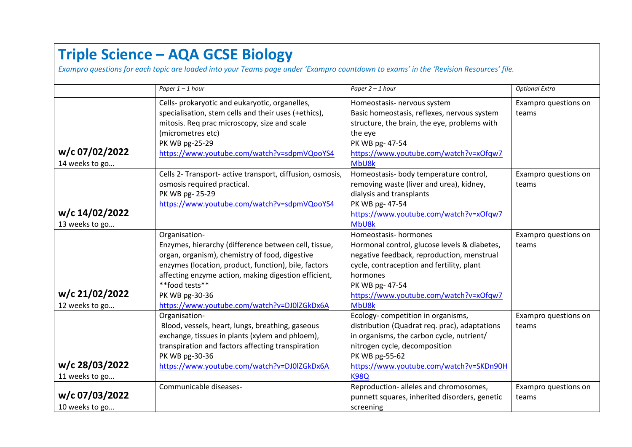## **Triple Science – AQA GCSE Biology**

*Exampro questions for each topic are loaded into your Teams page under 'Exampro countdown to exams' in the 'Revision Resources' file.*

|                                  | Paper $1 - 1$ hour                                                                                                                                                                                                                                                                                                         | Paper 2 - 1 hour                                                                                                                                                                                                                                  | <b>Optional Extra</b>         |
|----------------------------------|----------------------------------------------------------------------------------------------------------------------------------------------------------------------------------------------------------------------------------------------------------------------------------------------------------------------------|---------------------------------------------------------------------------------------------------------------------------------------------------------------------------------------------------------------------------------------------------|-------------------------------|
| w/c 07/02/2022<br>14 weeks to go | Cells- prokaryotic and eukaryotic, organelles,<br>specialisation, stem cells and their uses (+ethics),<br>mitosis. Req prac microscopy, size and scale<br>(micrometres etc)<br>PK WB pg-25-29<br>https://www.youtube.com/watch?v=sdpmVQooYS4                                                                               | Homeostasis- nervous system<br>Basic homeostasis, reflexes, nervous system<br>structure, the brain, the eye, problems with<br>the eye<br>PK WB pg- 47-54<br>https://www.youtube.com/watch?v=xOfqw7<br>MbU8k                                       | Exampro questions on<br>teams |
| w/c 14/02/2022<br>13 weeks to go | Cells 2- Transport- active transport, diffusion, osmosis,<br>osmosis required practical.<br>PK WB pg-25-29<br>https://www.youtube.com/watch?v=sdpmVQooYS4                                                                                                                                                                  | Homeostasis- body temperature control,<br>removing waste (liver and urea), kidney,<br>dialysis and transplants<br>PK WB pg- 47-54<br>https://www.youtube.com/watch?v=xOfqw7<br>MbU8k                                                              | Exampro questions on<br>teams |
| w/c 21/02/2022<br>12 weeks to go | Organisation-<br>Enzymes, hierarchy (difference between cell, tissue,<br>organ, organism), chemistry of food, digestive<br>enzymes (location, product, function), bile, factors<br>affecting enzyme action, making digestion efficient,<br>**food tests**<br>PK WB pg-30-36<br>https://www.youtube.com/watch?v=DJ0IZGkDx6A | Homeostasis-hormones<br>Hormonal control, glucose levels & diabetes,<br>negative feedback, reproduction, menstrual<br>cycle, contraception and fertility, plant<br>hormones<br>PK WB pg- 47-54<br>https://www.youtube.com/watch?v=xOfqw7<br>MbU8k | Exampro questions on<br>teams |
| w/c 28/03/2022<br>11 weeks to go | Organisation-<br>Blood, vessels, heart, lungs, breathing, gaseous<br>exchange, tissues in plants (xylem and phloem),<br>transpiration and factors affecting transpiration<br>PK WB pg-30-36<br>https://www.youtube.com/watch?v=DJ0IZGkDx6A                                                                                 | Ecology-competition in organisms,<br>distribution (Quadrat req. prac), adaptations<br>in organisms, the carbon cycle, nutrient/<br>nitrogen cycle, decomposition<br>PK WB pg-55-62<br>https://www.youtube.com/watch?v=SKDn90H<br><b>K98Q</b>      | Exampro questions on<br>teams |
| w/c 07/03/2022<br>10 weeks to go | Communicable diseases-                                                                                                                                                                                                                                                                                                     | Reproduction- alleles and chromosomes,<br>punnett squares, inherited disorders, genetic<br>screening                                                                                                                                              | Exampro questions on<br>teams |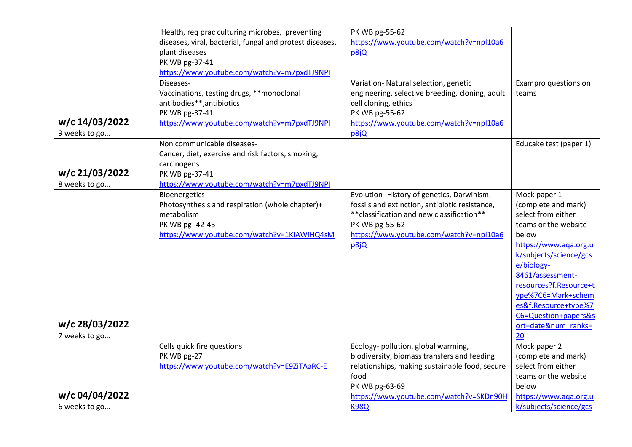|                | Health, req prac culturing microbes, preventing          | PK WB pg-55-62                                  |                        |
|----------------|----------------------------------------------------------|-------------------------------------------------|------------------------|
|                | diseases, viral, bacterial, fungal and protest diseases, | https://www.youtube.com/watch?v=npl10a6         |                        |
|                | plant diseases                                           | p8jQ                                            |                        |
|                | PK WB pg-37-41                                           |                                                 |                        |
|                | https://www.youtube.com/watch?v=m7pxdTJ9NPI              |                                                 |                        |
|                | Diseases-                                                | Variation- Natural selection, genetic           | Exampro questions on   |
|                | Vaccinations, testing drugs, ** monoclonal               | engineering, selective breeding, cloning, adult | teams                  |
|                | antibodies**,antibiotics                                 | cell cloning, ethics                            |                        |
|                | PK WB pg-37-41                                           | PK WB pg-55-62                                  |                        |
| w/c 14/03/2022 | https://www.youtube.com/watch?v=m7pxdTJ9NPI              | https://www.youtube.com/watch?v=npl10a6         |                        |
| 9 weeks to go  |                                                          | p8jQ                                            |                        |
|                | Non communicable diseases-                               |                                                 | Educake test (paper 1) |
|                | Cancer, diet, exercise and risk factors, smoking,        |                                                 |                        |
|                | carcinogens                                              |                                                 |                        |
| w/c 21/03/2022 | PK WB pg-37-41                                           |                                                 |                        |
| 8 weeks to go  | https://www.youtube.com/watch?v=m7pxdTJ9NPI              |                                                 |                        |
|                | <b>Bioenergetics</b>                                     | Evolution-History of genetics, Darwinism,       | Mock paper 1           |
|                | Photosynthesis and respiration (whole chapter)+          | fossils and extinction, antibiotic resistance,  | (complete and mark)    |
|                | metabolism                                               | ** classification and new classification**      | select from either     |
|                | PK WB pg- 42-45                                          | PK WB pg-55-62                                  | teams or the website   |
|                | https://www.youtube.com/watch?v=1KIAWiHQ4sM              | https://www.youtube.com/watch?v=npl10a6         | below                  |
|                |                                                          | p8jQ                                            | https://www.aqa.org.u  |
|                |                                                          |                                                 | k/subjects/science/gcs |
|                |                                                          |                                                 | e/biology-             |
|                |                                                          |                                                 | 8461/assessment-       |
|                |                                                          |                                                 | resources?f.Resource+t |
|                |                                                          |                                                 | ype%7C6=Mark+schem     |
|                |                                                          |                                                 | es&f.Resource+type%7   |
|                |                                                          |                                                 | C6=Question+papers&s   |
| w/c 28/03/2022 |                                                          |                                                 | ort=date# ranks=       |
| 7 weeks to go  |                                                          |                                                 | 20                     |
|                | Cells quick fire questions                               | Ecology- pollution, global warming,             | Mock paper 2           |
|                | PK WB pg-27                                              | biodiversity, biomass transfers and feeding     | (complete and mark)    |
|                | https://www.youtube.com/watch?v=E9ZiTAaRC-E              | relationships, making sustainable food, secure  | select from either     |
|                |                                                          | food                                            | teams or the website   |
|                |                                                          | PK WB pg-63-69                                  | below                  |
| w/c 04/04/2022 |                                                          | https://www.youtube.com/watch?v=SKDn90H         | https://www.aqa.org.u  |
| 6 weeks to go  |                                                          | <b>K98Q</b>                                     | k/subjects/science/gcs |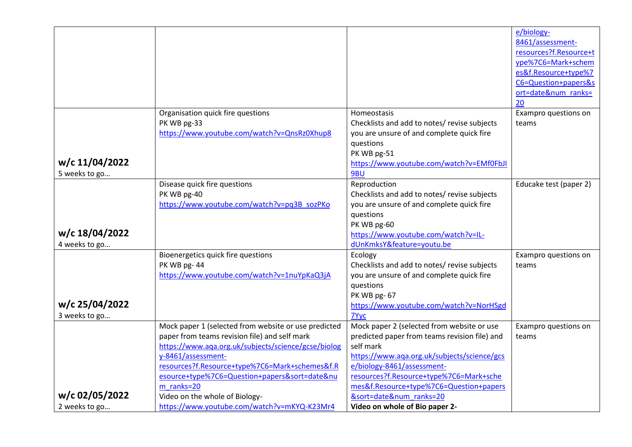|                |                                                      |                                               | e/biology-             |
|----------------|------------------------------------------------------|-----------------------------------------------|------------------------|
|                |                                                      |                                               | 8461/assessment-       |
|                |                                                      |                                               | resources?f.Resource+t |
|                |                                                      |                                               | ype%7C6=Mark+schem     |
|                |                                                      |                                               | es&f.Resource+type%7   |
|                |                                                      |                                               | C6=Question+papers&s   |
|                |                                                      |                                               | ort=date# ranks=       |
|                |                                                      |                                               | 20                     |
|                | Organisation quick fire questions                    | Homeostasis                                   | Exampro questions on   |
|                | PK WB pg-33                                          | Checklists and add to notes/ revise subjects  | teams                  |
|                | https://www.youtube.com/watch?v=QnsRz0Xhup8          | you are unsure of and complete quick fire     |                        |
|                |                                                      | questions                                     |                        |
|                |                                                      | PK WB pg-51                                   |                        |
| w/c 11/04/2022 |                                                      | https://www.youtube.com/watch?v=EMf0FbJI      |                        |
| 5 weeks to go  |                                                      | 9BU                                           |                        |
|                | Disease quick fire questions                         | Reproduction                                  | Educake test (paper 2) |
|                | PK WB pg-40                                          | Checklists and add to notes/ revise subjects  |                        |
|                | https://www.youtube.com/watch?v=pq3B_sozPKo          | you are unsure of and complete quick fire     |                        |
|                |                                                      | questions                                     |                        |
|                |                                                      | PK WB pg-60                                   |                        |
| w/c 18/04/2022 |                                                      | https://www.youtube.com/watch?v=IL-           |                        |
| 4 weeks to go  |                                                      | dUnKmksY&feature=youtu.be                     |                        |
|                | Bioenergetics quick fire questions                   | Ecology                                       | Exampro questions on   |
|                | PK WB pg-44                                          | Checklists and add to notes/ revise subjects  | teams                  |
|                | https://www.youtube.com/watch?v=1nuYpKaQ3jA          | you are unsure of and complete quick fire     |                        |
|                |                                                      | questions                                     |                        |
|                |                                                      | PK WB pg-67                                   |                        |
| w/c 25/04/2022 |                                                      | https://www.youtube.com/watch?v=NorHSgd       |                        |
| 3 weeks to go  |                                                      | 7Yyc                                          |                        |
|                | Mock paper 1 (selected from website or use predicted | Mock paper 2 (selected from website or use    | Exampro questions on   |
|                | paper from teams revision file) and self mark        | predicted paper from teams revision file) and | teams                  |
|                | https://www.aqa.org.uk/subjects/science/gcse/biolog  | self mark                                     |                        |
|                | y-8461/assessment-                                   | https://www.aqa.org.uk/subjects/science/gcs   |                        |
|                | resources?f.Resource+type%7C6=Mark+schemes&f.R       | e/biology-8461/assessment-                    |                        |
|                | esource+type%7C6=Question+papers&sort=dateν          | resources?f.Resource+type%7C6=Mark+sche       |                        |
|                | m ranks=20                                           | mes&f.Resource+type%7C6=Question+papers       |                        |
| w/c 02/05/2022 | Video on the whole of Biology-                       | &sort=date# ranks=20                          |                        |
| 2 weeks to go  | https://www.youtube.com/watch?v=mKYQ-K23Mr4          | Video on whole of Bio paper 2-                |                        |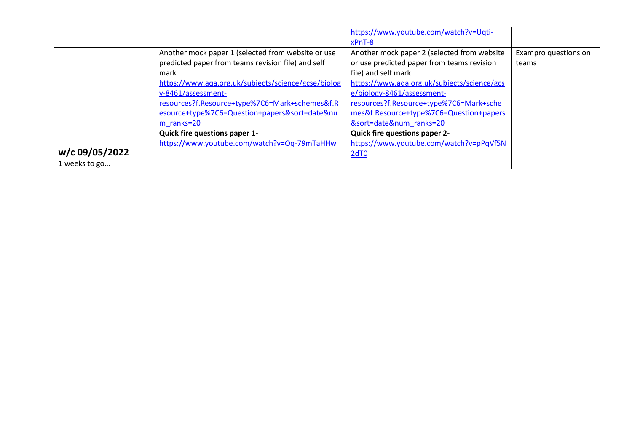|                |                                                                                                                                                                                                                                                                                                                                                                                                     | https://www.youtube.com/watch?v=Uqti-                                                                                                                                                                                                                                                                                                                                                                            |                               |
|----------------|-----------------------------------------------------------------------------------------------------------------------------------------------------------------------------------------------------------------------------------------------------------------------------------------------------------------------------------------------------------------------------------------------------|------------------------------------------------------------------------------------------------------------------------------------------------------------------------------------------------------------------------------------------------------------------------------------------------------------------------------------------------------------------------------------------------------------------|-------------------------------|
| w/c 09/05/2022 | Another mock paper 1 (selected from website or use<br>predicted paper from teams revision file) and self<br>mark<br>https://www.aqa.org.uk/subjects/science/gcse/biolog<br>y-8461/assessment-<br>resources?f.Resource+type%7C6=Mark+schemes&f.R<br>esource+type%7C6=Question+papers&sort=dateν<br>m ranks=20<br><b>Quick fire questions paper 1-</b><br>https://www.youtube.com/watch?v=Oq-79mTaHHw | xPnT-8<br>Another mock paper 2 (selected from website<br>or use predicted paper from teams revision<br>file) and self mark<br>https://www.aqa.org.uk/subjects/science/gcs<br>e/biology-8461/assessment-<br>resources?f.Resource+type%7C6=Mark+sche<br>mes&f.Resource+type%7C6=Question+papers<br>&sort=date# ranks=20<br><b>Quick fire questions paper 2-</b><br>https://www.youtube.com/watch?v=pPqVf5N<br>2dT0 | Exampro questions on<br>teams |
| 1 weeks to go  |                                                                                                                                                                                                                                                                                                                                                                                                     |                                                                                                                                                                                                                                                                                                                                                                                                                  |                               |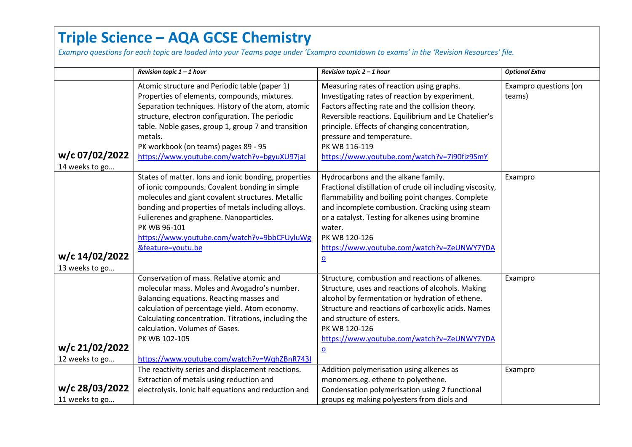## **Triple Science – AQA GCSE Chemistry**

*Exampro questions for each topic are loaded into your Teams page under 'Exampro countdown to exams' in the 'Revision Resources' file.*

|                                  | Revision topic $1 - 1$ hour                                                                                                                                                                                                                                                                                                                                     | Revision topic $2 - 1$ hour                                                                                                                                                                                                                                                                                                                                     | <b>Optional Extra</b>           |
|----------------------------------|-----------------------------------------------------------------------------------------------------------------------------------------------------------------------------------------------------------------------------------------------------------------------------------------------------------------------------------------------------------------|-----------------------------------------------------------------------------------------------------------------------------------------------------------------------------------------------------------------------------------------------------------------------------------------------------------------------------------------------------------------|---------------------------------|
| w/c 07/02/2022<br>14 weeks to go | Atomic structure and Periodic table (paper 1)<br>Properties of elements, compounds, mixtures.<br>Separation techniques. History of the atom, atomic<br>structure, electron configuration. The periodic<br>table. Noble gases, group 1, group 7 and transition<br>metals.<br>PK workbook (on teams) pages 89 - 95<br>https://www.youtube.com/watch?v=bgyuXU97jal | Measuring rates of reaction using graphs.<br>Investigating rates of reaction by experiment.<br>Factors affecting rate and the collision theory.<br>Reversible reactions. Equilibrium and Le Chatelier's<br>principle. Effects of changing concentration,<br>pressure and temperature.<br>PK WB 116-119<br>https://www.youtube.com/watch?v=7i90fiz9SmY           | Exampro questions (on<br>teams) |
| w/c 14/02/2022<br>13 weeks to go | States of matter. Ions and ionic bonding, properties<br>of ionic compounds. Covalent bonding in simple<br>molecules and giant covalent structures. Metallic<br>bonding and properties of metals including alloys.<br>Fullerenes and graphene. Nanoparticles.<br>PK WB 96-101<br>https://www.youtube.com/watch?v=9bbCFUyluWg<br>&feature=youtu.be                | Hydrocarbons and the alkane family.<br>Fractional distillation of crude oil including viscosity,<br>flammability and boiling point changes. Complete<br>and incomplete combustion. Cracking using steam<br>or a catalyst. Testing for alkenes using bromine<br>water.<br>PK WB 120-126<br>https://www.youtube.com/watch?v=ZeUNWY7YDA<br>$\overline{\mathbf{o}}$ | Exampro                         |
| w/c 21/02/2022<br>12 weeks to go | Conservation of mass. Relative atomic and<br>molecular mass. Moles and Avogadro's number.<br>Balancing equations. Reacting masses and<br>calculation of percentage yield. Atom economy.<br>Calculating concentration. Titrations, including the<br>calculation. Volumes of Gases.<br>PK WB 102-105<br>https://www.youtube.com/watch?v=WqhZBnR743I               | Structure, combustion and reactions of alkenes.<br>Structure, uses and reactions of alcohols. Making<br>alcohol by fermentation or hydration of ethene.<br>Structure and reactions of carboxylic acids. Names<br>and structure of esters.<br>PK WB 120-126<br>https://www.youtube.com/watch?v=ZeUNWY7YDA<br>$\overline{\mathbf{o}}$                             | Exampro                         |
| w/c 28/03/2022<br>11 weeks to go | The reactivity series and displacement reactions.<br>Extraction of metals using reduction and<br>electrolysis. Ionic half equations and reduction and                                                                                                                                                                                                           | Addition polymerisation using alkenes as<br>monomers.eg. ethene to polyethene.<br>Condensation polymerisation using 2 functional<br>groups eg making polyesters from diols and                                                                                                                                                                                  | Exampro                         |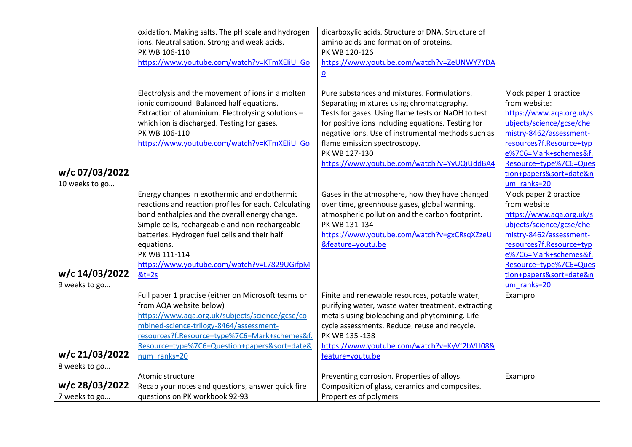|                | oxidation. Making salts. The pH scale and hydrogen    | dicarboxylic acids. Structure of DNA. Structure of |                                                   |
|----------------|-------------------------------------------------------|----------------------------------------------------|---------------------------------------------------|
|                | ions. Neutralisation. Strong and weak acids.          | amino acids and formation of proteins.             |                                                   |
|                | PK WB 106-110                                         | PK WB 120-126                                      |                                                   |
|                | https://www.youtube.com/watch?v=KTmXEliU Go           | https://www.youtube.com/watch?v=ZeUNWY7YDA         |                                                   |
|                |                                                       | $\overline{\mathbf{o}}$                            |                                                   |
|                | Electrolysis and the movement of ions in a molten     | Pure substances and mixtures. Formulations.        | Mock paper 1 practice                             |
|                | ionic compound. Balanced half equations.              | Separating mixtures using chromatography.          | from website:                                     |
|                | Extraction of aluminium. Electrolysing solutions -    | Tests for gases. Using flame tests or NaOH to test | https://www.aqa.org.uk/s                          |
|                | which ion is discharged. Testing for gases.           | for positive ions including equations. Testing for | ubjects/science/gcse/che                          |
|                | PK WB 106-110                                         | negative ions. Use of instrumental methods such as | mistry-8462/assessment-                           |
|                | https://www.youtube.com/watch?v=KTmXEliU Go           | flame emission spectroscopy.                       | resources?f.Resource+typ                          |
|                |                                                       | PK WB 127-130                                      | e%7C6=Mark+schemes&f.                             |
| w/c 07/03/2022 |                                                       | https://www.youtube.com/watch?v=YyUQiUddBA4        | Resource+type%7C6=Ques<br>tion+papers&sort=date&n |
| 10 weeks to go |                                                       |                                                    | um ranks=20                                       |
|                | Energy changes in exothermic and endothermic          | Gases in the atmosphere, how they have changed     | Mock paper 2 practice                             |
|                | reactions and reaction profiles for each. Calculating | over time, greenhouse gases, global warming,       | from website                                      |
|                | bond enthalpies and the overall energy change.        | atmospheric pollution and the carbon footprint.    | https://www.aqa.org.uk/s                          |
|                | Simple cells, rechargeable and non-rechargeable       | PK WB 131-134                                      | ubjects/science/gcse/che                          |
|                | batteries. Hydrogen fuel cells and their half         | https://www.youtube.com/watch?v=gxCRsqXZzeU        | mistry-8462/assessment-                           |
|                | equations.                                            | &feature=youtu.be                                  | resources?f.Resource+typ                          |
|                | PK WB 111-114                                         |                                                    | e%7C6=Mark+schemes&f.                             |
|                | https://www.youtube.com/watch?v=L7829UGifpM           |                                                    | Resource+type%7C6=Ques                            |
| w/c 14/03/2022 | $&t=2s$                                               |                                                    | tion+papers&sort=date&n                           |
| 9 weeks to go  |                                                       |                                                    | um_ranks=20                                       |
|                | Full paper 1 practise (either on Microsoft teams or   | Finite and renewable resources, potable water,     | Exampro                                           |
|                | from AQA website below)                               | purifying water, waste water treatment, extracting |                                                   |
|                | https://www.aqa.org.uk/subjects/science/gcse/co       | metals using bioleaching and phytomining. Life     |                                                   |
|                | mbined-science-trilogy-8464/assessment-               | cycle assessments. Reduce, reuse and recycle.      |                                                   |
|                | resources?f.Resource+type%7C6=Mark+schemes&f.         | PK WB 135-138                                      |                                                   |
|                | Resource+type%7C6=Question+papers&sort=date&          | https://www.youtube.com/watch?v=KyVf2bVLI08&       |                                                   |
| w/c 21/03/2022 | num ranks=20                                          | feature=youtu.be                                   |                                                   |
| 8 weeks to go  |                                                       |                                                    |                                                   |
|                | Atomic structure                                      | Preventing corrosion. Properties of alloys.        | Exampro                                           |
| w/c 28/03/2022 | Recap your notes and questions, answer quick fire     | Composition of glass, ceramics and composites.     |                                                   |
| 7 weeks to go  | questions on PK workbook 92-93                        | Properties of polymers                             |                                                   |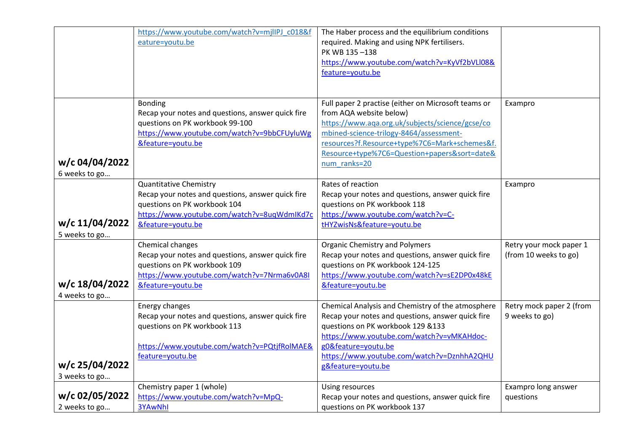|                                 | https://www.youtube.com/watch?v=mjlIPJ_c018&f<br>eature=youtu.be                                                                                                                       | The Haber process and the equilibrium conditions<br>required. Making and using NPK fertilisers.<br>PK WB 135-138<br>https://www.youtube.com/watch?v=KyVf2bVLI08&<br>feature=youtu.be                                                                                                          |                                                  |
|---------------------------------|----------------------------------------------------------------------------------------------------------------------------------------------------------------------------------------|-----------------------------------------------------------------------------------------------------------------------------------------------------------------------------------------------------------------------------------------------------------------------------------------------|--------------------------------------------------|
| w/c 04/04/2022<br>6 weeks to go | <b>Bonding</b><br>Recap your notes and questions, answer quick fire<br>questions on PK workbook 99-100<br>https://www.youtube.com/watch?v=9bbCFUyluWg<br>&feature=youtu.be             | Full paper 2 practise (either on Microsoft teams or<br>from AQA website below)<br>https://www.aqa.org.uk/subjects/science/gcse/co<br>mbined-science-trilogy-8464/assessment-<br>resources?f.Resource+type%7C6=Mark+schemes&f.<br>Resource+type%7C6=Question+papers&sort=date&<br>num ranks=20 | Exampro                                          |
| w/c 11/04/2022<br>5 weeks to go | <b>Quantitative Chemistry</b><br>Recap your notes and questions, answer quick fire<br>questions on PK workbook 104<br>https://www.youtube.com/watch?v=8uqWdmIKd7c<br>&feature=youtu.be | Rates of reaction<br>Recap your notes and questions, answer quick fire<br>questions on PK workbook 118<br>https://www.youtube.com/watch?v=C-<br>tHYZwisNs&feature=youtu.be                                                                                                                    | Exampro                                          |
| w/c 18/04/2022<br>4 weeks to go | Chemical changes<br>Recap your notes and questions, answer quick fire<br>questions on PK workbook 109<br>https://www.youtube.com/watch?v=7Nrma6v0A8I<br>&feature=youtu.be              | <b>Organic Chemistry and Polymers</b><br>Recap your notes and questions, answer quick fire<br>questions on PK workbook 124-125<br>https://www.youtube.com/watch?v=sE2DP0x48kE<br>&feature=youtu.be                                                                                            | Retry your mock paper 1<br>(from 10 weeks to go) |
| w/c 25/04/2022<br>3 weeks to go | Energy changes<br>Recap your notes and questions, answer quick fire<br>questions on PK workbook 113<br>https://www.youtube.com/watch?v=PQtjfRolMAE&<br>feature=youtu.be                | Chemical Analysis and Chemistry of the atmosphere<br>Recap your notes and questions, answer quick fire<br>questions on PK workbook 129 &133<br>https://www.youtube.com/watch?v=vMKAHdoc-<br>g0&feature=youtu.be<br>https://www.youtube.com/watch?v=DznhhA2QHU<br>g&feature=youtu.be           | Retry mock paper 2 (from<br>9 weeks to go)       |
| w/c 02/05/2022<br>2 weeks to go | Chemistry paper 1 (whole)<br>https://www.youtube.com/watch?v=MpQ-<br>3YAwNhl                                                                                                           | Using resources<br>Recap your notes and questions, answer quick fire<br>questions on PK workbook 137                                                                                                                                                                                          | Exampro long answer<br>questions                 |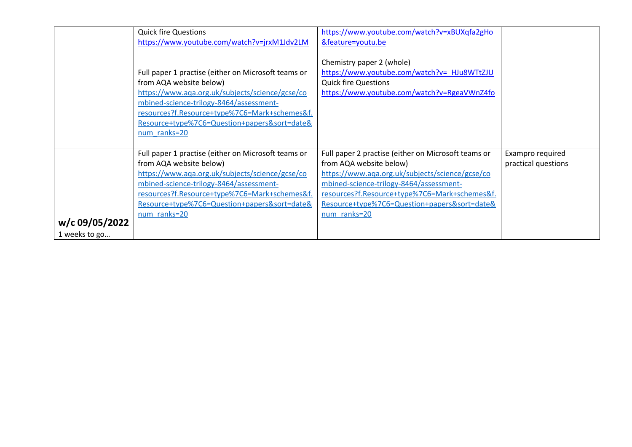|                                 | <b>Quick fire Questions</b><br>https://www.youtube.com/watch?v=jrxM1Jdv2LM<br>Full paper 1 practise (either on Microsoft teams or<br>from AQA website below)<br>https://www.aqa.org.uk/subjects/science/gcse/co<br>mbined-science-trilogy-8464/assessment-<br>resources?f.Resource+type%7C6=Mark+schemes&f.<br>Resource+type%7C6=Question+papers&sort=date&<br>num ranks=20 | https://www.youtube.com/watch?v=xBUXqfa2gHo<br>&feature=youtu.be<br>Chemistry paper 2 (whole)<br>https://www.youtube.com/watch?v= HJu8WTtZJU<br><b>Quick fire Questions</b><br>https://www.youtube.com/watch?v=RgeaVWnZ4fo                                                                    |                                         |
|---------------------------------|-----------------------------------------------------------------------------------------------------------------------------------------------------------------------------------------------------------------------------------------------------------------------------------------------------------------------------------------------------------------------------|-----------------------------------------------------------------------------------------------------------------------------------------------------------------------------------------------------------------------------------------------------------------------------------------------|-----------------------------------------|
| w/c 09/05/2022<br>1 weeks to go | Full paper 1 practise (either on Microsoft teams or<br>from AQA website below)<br>https://www.aqa.org.uk/subjects/science/gcse/co<br>mbined-science-trilogy-8464/assessment-<br>resources?f.Resource+type%7C6=Mark+schemes&f.<br>Resource+type%7C6=Question+papers&sort=date&<br>num ranks=20                                                                               | Full paper 2 practise (either on Microsoft teams or<br>from AQA website below)<br>https://www.aqa.org.uk/subjects/science/gcse/co<br>mbined-science-trilogy-8464/assessment-<br>resources?f.Resource+type%7C6=Mark+schemes&f.<br>Resource+type%7C6=Question+papers&sort=date&<br>num ranks=20 | Exampro required<br>practical questions |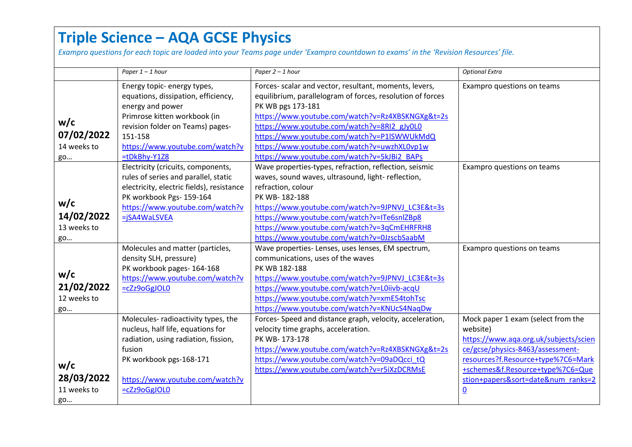## **Triple Science – AQA GCSE Physics**

*Exampro questions for each topic are loaded into your Teams page under 'Exampro countdown to exams' in the 'Revision Resources' file.*

|                                        | Paper $1 - 1$ hour                                                                                                                                                                                                          | Paper 2 - 1 hour                                                                                                                                                                                                                                                                                                                                                                          | <b>Optional Extra</b>                                                                                                                                                                                                                                       |
|----------------------------------------|-----------------------------------------------------------------------------------------------------------------------------------------------------------------------------------------------------------------------------|-------------------------------------------------------------------------------------------------------------------------------------------------------------------------------------------------------------------------------------------------------------------------------------------------------------------------------------------------------------------------------------------|-------------------------------------------------------------------------------------------------------------------------------------------------------------------------------------------------------------------------------------------------------------|
| w/c<br>07/02/2022<br>14 weeks to<br>go | Energy topic- energy types,<br>equations, dissipation, efficiency,<br>energy and power<br>Primrose kitten workbook (in<br>revision folder on Teams) pages-<br>151-158<br>https://www.youtube.com/watch?v<br>$=$ tDkBhy-Y1Z8 | Forces- scalar and vector, resultant, moments, levers,<br>equilibrium, parallelogram of forces, resolution of forces<br>PK WB pgs 173-181<br>https://www.youtube.com/watch?v=Rz4XBSKNGXg&t=2s<br>https://www.youtube.com/watch?v=8RI2_gJy0L0<br>https://www.youtube.com/watch?v=P1ISWWUkMdQ<br>https://www.youtube.com/watch?v=uwzhXL0vp1w<br>https://www.youtube.com/watch?v=5kJBi2_BAPs | Exampro questions on teams                                                                                                                                                                                                                                  |
| w/c<br>14/02/2022<br>13 weeks to<br>go | Electricity (cricuits, components,<br>rules of series and parallel, static<br>electricity, electric fields), resistance<br>PK workbook Pgs- 159-164<br>https://www.youtube.com/watch?v<br>=jSA4WaLSVEA                      | Wave properties-types, refraction, reflection, seismic<br>waves, sound waves, ultrasound, light- reflection,<br>refraction, colour<br>PK WB-182-188<br>https://www.youtube.com/watch?v=9JPNVJ LC3E&t=3s<br>https://www.youtube.com/watch?v=ITe6snlZBp8<br>https://www.youtube.com/watch?v=3qCmEHRFRH8<br>https://www.youtube.com/watch?v=0JzscbSaabM                                      | Exampro questions on teams                                                                                                                                                                                                                                  |
| w/c<br>21/02/2022<br>12 weeks to<br>go | Molecules and matter (particles,<br>density SLH, pressure)<br>PK workbook pages- 164-168<br>https://www.youtube.com/watch?v<br>=cZz9oGgJOL0                                                                                 | Wave properties- Lenses, uses lenses, EM spectrum,<br>communications, uses of the waves<br>PK WB 182-188<br>https://www.youtube.com/watch?v=9JPNVJ LC3E&t=3s<br>https://www.youtube.com/watch?v=L0iivb-acqU<br>https://www.youtube.com/watch?v=xmE54tohTsc<br>https://www.youtube.com/watch?v=KNUcS4NaqDw                                                                                 | Exampro questions on teams                                                                                                                                                                                                                                  |
| w/c<br>28/03/2022<br>11 weeks to<br>go | Molecules-radioactivity types, the<br>nucleus, half life, equations for<br>radiation, using radiation, fission,<br>fusion<br>PK workbook pgs-168-171<br>https://www.youtube.com/watch?v<br>$= cZz9oGgJOLO$                  | Forces- Speed and distance graph, velocity, acceleration,<br>velocity time graphs, acceleration.<br>PK WB-173-178<br>https://www.youtube.com/watch?v=Rz4XBSKNGXg&t=2s<br>https://www.youtube.com/watch?v=09aDQcci tQ<br>https://www.youtube.com/watch?v=r5iXzDCRMsE                                                                                                                       | Mock paper 1 exam (select from the<br>website)<br>https://www.aqa.org.uk/subjects/scien<br>ce/gcse/physics-8463/assessment-<br>resources?f.Resource+type%7C6=Mark<br>+schemes&f.Resource+type%7C6=Que<br>stion+papers&sort=date# ranks=2<br>$\underline{0}$ |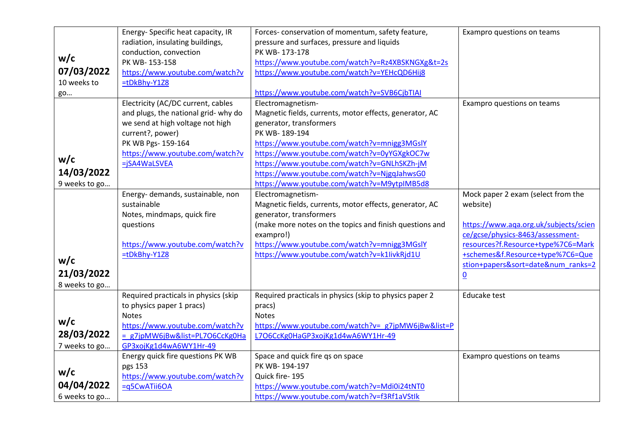|               | Energy- Specific heat capacity, IR   | Forces-conservation of momentum, safety feature,        | Exampro questions on teams            |
|---------------|--------------------------------------|---------------------------------------------------------|---------------------------------------|
|               | radiation, insulating buildings,     | pressure and surfaces, pressure and liquids             |                                       |
|               | conduction, convection               | PK WB-173-178                                           |                                       |
| w/c           | PK WB-153-158                        | https://www.youtube.com/watch?v=Rz4XBSKNGXg&t=2s        |                                       |
| 07/03/2022    | https://www.youtube.com/watch?v      | https://www.youtube.com/watch?v=YEHcQD6Hij8             |                                       |
| 10 weeks to   | $=$ tDkBhy-Y1Z8                      |                                                         |                                       |
| go            |                                      | https://www.youtube.com/watch?v=SVB6CjbTIAI             |                                       |
|               | Electricity (AC/DC current, cables   | Electromagnetism-                                       | Exampro questions on teams            |
|               | and plugs, the national grid- why do | Magnetic fields, currents, motor effects, generator, AC |                                       |
|               | we send at high voltage not high     | generator, transformers                                 |                                       |
|               | current?, power)                     | PK WB-189-194                                           |                                       |
|               | PK WB Pgs- 159-164                   | https://www.youtube.com/watch?v=mnigg3MGslY             |                                       |
|               | https://www.youtube.com/watch?v      | https://www.youtube.com/watch?v=0yYGXgkOC7w             |                                       |
| w/c           | =jSA4WaLSVEA                         | https://www.youtube.com/watch?v=GNLhSKZh-jM             |                                       |
| 14/03/2022    |                                      | https://www.youtube.com/watch?v=NjgqJahwsG0             |                                       |
| 9 weeks to go |                                      | https://www.youtube.com/watch?v=M9ytpIMB5d8             |                                       |
|               | Energy- demands, sustainable, non    | Electromagnetism-                                       | Mock paper 2 exam (select from the    |
|               | sustainable                          | Magnetic fields, currents, motor effects, generator, AC | website)                              |
|               | Notes, mindmaps, quick fire          | generator, transformers                                 |                                       |
|               | questions                            | (make more notes on the topics and finish questions and | https://www.aqa.org.uk/subjects/scien |
|               |                                      | exampro!)                                               | ce/gcse/physics-8463/assessment-      |
|               | https://www.youtube.com/watch?v      | https://www.youtube.com/watch?v=mnigg3MGslY             | resources?f.Resource+type%7C6=Mark    |
| w/c           | =tDkBhy-Y1Z8                         | https://www.youtube.com/watch?v=k1livkRjd1U             | +schemes&f.Resource+type%7C6=Que      |
|               |                                      |                                                         | stion+papers&sort=date# ranks=2       |
| 21/03/2022    |                                      |                                                         | $\underline{0}$                       |
| 8 weeks to go |                                      |                                                         |                                       |
|               | Required practicals in physics (skip | Required practicals in physics (skip to physics paper 2 | Educake test                          |
|               | to physics paper 1 pracs)            | pracs)                                                  |                                       |
| w/c           | <b>Notes</b>                         | Notes                                                   |                                       |
|               | https://www.youtube.com/watch?v      | https://www.youtube.com/watch?v= g7jpMW6jBw&list=P      |                                       |
| 28/03/2022    | = g7jpMW6jBw&list=PL7O6CcKg0Ha       | L7O6CcKg0HaGP3xojKg1d4wA6WY1Hr-49                       |                                       |
| 7 weeks to go | GP3xojKg1d4wA6WY1Hr-49               |                                                         |                                       |
|               | Energy quick fire questions PK WB    | Space and quick fire qs on space                        | Exampro questions on teams            |
| w/c           | pgs 153                              | PK WB-194-197                                           |                                       |
|               | https://www.youtube.com/watch?v      | Quick fire-195                                          |                                       |
| 04/04/2022    | =q5CwATii6OA                         | https://www.youtube.com/watch?v=Mdi0i24tNT0             |                                       |
| 6 weeks to go |                                      | https://www.youtube.com/watch?v=f3Rf1aVStlk             |                                       |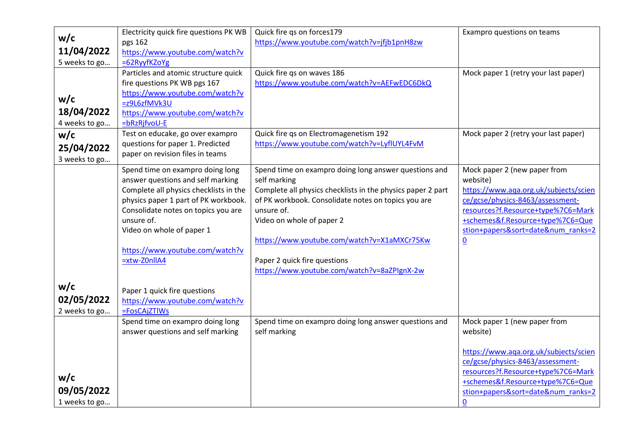|               | Electricity quick fire questions PK WB          | Quick fire qs on forces179                                  | Exampro questions on teams            |
|---------------|-------------------------------------------------|-------------------------------------------------------------|---------------------------------------|
| w/c           | pgs 162                                         | https://www.youtube.com/watch?v=jfjb1pnH8zw                 |                                       |
| 11/04/2022    | https://www.youtube.com/watch?v                 |                                                             |                                       |
| 5 weeks to go | =62RyyfKZoYg                                    |                                                             |                                       |
|               | Particles and atomic structure quick            | Quick fire qs on waves 186                                  | Mock paper 1 (retry your last paper)  |
|               | fire questions PK WB pgs 167                    | https://www.youtube.com/watch?v=AEFwEDC6DkQ                 |                                       |
| w/c           | https://www.youtube.com/watch?v                 |                                                             |                                       |
| 18/04/2022    | =z9L6zfMVk3U                                    |                                                             |                                       |
|               | https://www.youtube.com/watch?v<br>=bRzRjfvoU-E |                                                             |                                       |
| 4 weeks to go | Test on educake, go over exampro                | Quick fire qs on Electromagenetism 192                      | Mock paper 2 (retry your last paper)  |
| w/c           | questions for paper 1. Predicted                | https://www.youtube.com/watch?v=LyflUYL4FvM                 |                                       |
| 25/04/2022    | paper on revision files in teams                |                                                             |                                       |
| 3 weeks to go |                                                 |                                                             |                                       |
|               | Spend time on exampro doing long                | Spend time on exampro doing long answer questions and       | Mock paper 2 (new paper from          |
|               | answer questions and self marking               | self marking                                                | website)                              |
|               | Complete all physics checklists in the          | Complete all physics checklists in the physics paper 2 part | https://www.aqa.org.uk/subjects/scien |
|               | physics paper 1 part of PK workbook.            | of PK workbook. Consolidate notes on topics you are         | ce/gcse/physics-8463/assessment-      |
|               | Consolidate notes on topics you are             | unsure of.                                                  | resources?f.Resource+type%7C6=Mark    |
|               | unsure of.                                      | Video on whole of paper 2                                   | +schemes&f.Resource+type%7C6=Que      |
|               | Video on whole of paper 1                       |                                                             | stion+papers&sort=date# ranks=2       |
|               | https://www.youtube.com/watch?v                 | https://www.youtube.com/watch?v=X1aMXCr75Kw                 | $\underline{0}$                       |
|               | $=$ xtw-Z0nllA4                                 | Paper 2 quick fire questions                                |                                       |
|               |                                                 | https://www.youtube.com/watch?v=8aZPIgnX-2w                 |                                       |
|               |                                                 |                                                             |                                       |
| w/c           | Paper 1 quick fire questions                    |                                                             |                                       |
| 02/05/2022    | https://www.youtube.com/watch?v                 |                                                             |                                       |
| 2 weeks to go | =FosCAjZTlWs                                    |                                                             |                                       |
|               | Spend time on exampro doing long                | Spend time on exampro doing long answer questions and       | Mock paper 1 (new paper from          |
|               | answer questions and self marking               | self marking                                                | website)                              |
|               |                                                 |                                                             |                                       |
|               |                                                 |                                                             | https://www.aqa.org.uk/subjects/scien |
|               |                                                 |                                                             | ce/gcse/physics-8463/assessment-      |
| w/c           |                                                 |                                                             | resources?f.Resource+type%7C6=Mark    |
| 09/05/2022    |                                                 |                                                             | +schemes&f.Resource+type%7C6=Que      |
|               |                                                 |                                                             | stion+papers&sort=date# ranks=2       |
| 1 weeks to go |                                                 |                                                             | 0                                     |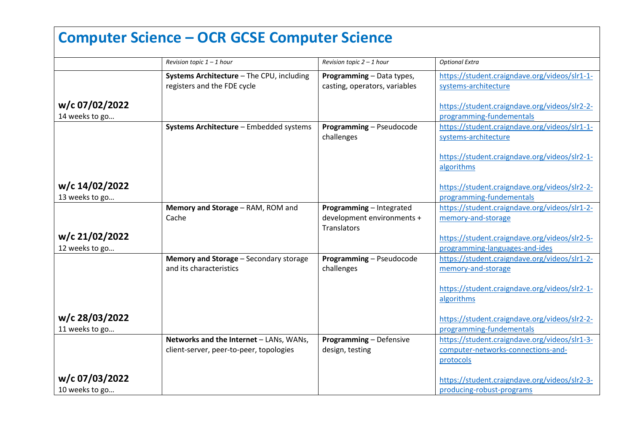# **Computer Science – OCR GCSE Computer Science**

|                | Revision topic $1 - 1$ hour                                                        | Revision topic $2 - 1$ hour                       | <b>Optional Extra</b>                                                               |
|----------------|------------------------------------------------------------------------------------|---------------------------------------------------|-------------------------------------------------------------------------------------|
|                | Systems Architecture - The CPU, including                                          | Programming - Data types,                         | https://student.craigndave.org/videos/slr1-1-                                       |
|                | registers and the FDE cycle                                                        | casting, operators, variables                     | systems-architecture                                                                |
| w/c 07/02/2022 |                                                                                    |                                                   | https://student.craigndave.org/videos/slr2-2-                                       |
| 14 weeks to go |                                                                                    |                                                   | programming-fundementals                                                            |
|                | Systems Architecture - Embedded systems                                            | Programming - Pseudocode                          | https://student.craigndave.org/videos/slr1-1-                                       |
|                |                                                                                    | challenges                                        | systems-architecture                                                                |
|                |                                                                                    |                                                   |                                                                                     |
|                |                                                                                    |                                                   | https://student.craigndave.org/videos/slr2-1-                                       |
|                |                                                                                    |                                                   | algorithms                                                                          |
|                |                                                                                    |                                                   |                                                                                     |
| w/c 14/02/2022 |                                                                                    |                                                   | https://student.craigndave.org/videos/slr2-2-                                       |
| 13 weeks to go |                                                                                    |                                                   | programming-fundementals                                                            |
|                | Memory and Storage - RAM, ROM and                                                  | Programming - Integrated                          | https://student.craigndave.org/videos/slr1-2-                                       |
|                | Cache                                                                              | development environments +                        | memory-and-storage                                                                  |
|                |                                                                                    | Translators                                       |                                                                                     |
| w/c 21/02/2022 |                                                                                    |                                                   | https://student.craigndave.org/videos/slr2-5-                                       |
| 12 weeks to go |                                                                                    |                                                   | programming-languages-and-ides                                                      |
|                | Memory and Storage - Secondary storage                                             | Programming - Pseudocode                          | https://student.craigndave.org/videos/slr1-2-                                       |
|                | and its characteristics                                                            | challenges                                        | memory-and-storage                                                                  |
|                |                                                                                    |                                                   |                                                                                     |
|                |                                                                                    |                                                   | https://student.craigndave.org/videos/slr2-1-                                       |
|                |                                                                                    |                                                   | algorithms                                                                          |
| w/c 28/03/2022 |                                                                                    |                                                   | https://student.craigndave.org/videos/slr2-2-                                       |
|                |                                                                                    |                                                   | programming-fundementals                                                            |
| 11 weeks to go |                                                                                    |                                                   |                                                                                     |
|                | Networks and the Internet - LANs, WANs,<br>client-server, peer-to-peer, topologies | <b>Programming - Defensive</b><br>design, testing | https://student.craigndave.org/videos/slr1-3-<br>computer-networks-connections-and- |
|                |                                                                                    |                                                   |                                                                                     |
|                |                                                                                    |                                                   | protocols                                                                           |
| w/c 07/03/2022 |                                                                                    |                                                   | https://student.craigndave.org/videos/slr2-3-                                       |
| 10 weeks to go |                                                                                    |                                                   | producing-robust-programs                                                           |
|                |                                                                                    |                                                   |                                                                                     |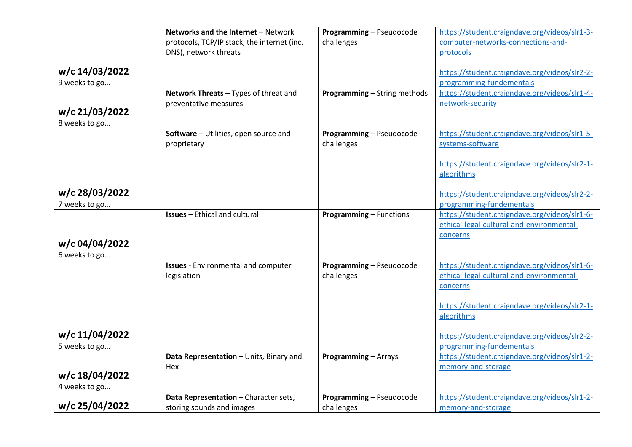|                | Networks and the Internet - Network                                  | Programming - Pseudocode            | https://student.craigndave.org/videos/slr1-3-               |
|----------------|----------------------------------------------------------------------|-------------------------------------|-------------------------------------------------------------|
|                | protocols, TCP/IP stack, the internet (inc.<br>DNS), network threats | challenges                          | computer-networks-connections-and-                          |
|                |                                                                      |                                     | protocols                                                   |
| w/c 14/03/2022 |                                                                      |                                     | https://student.craigndave.org/videos/slr2-2-               |
| 9 weeks to go  |                                                                      |                                     | programming-fundementals                                    |
|                | Network Threats - Types of threat and                                | <b>Programming - String methods</b> | https://student.craigndave.org/videos/slr1-4-               |
| w/c 21/03/2022 | preventative measures                                                |                                     | network-security                                            |
| 8 weeks to go  |                                                                      |                                     |                                                             |
|                | Software - Utilities, open source and                                | Programming - Pseudocode            | https://student.craigndave.org/videos/slr1-5-               |
|                | proprietary                                                          | challenges                          | systems-software                                            |
|                |                                                                      |                                     |                                                             |
|                |                                                                      |                                     | https://student.craigndave.org/videos/slr2-1-               |
|                |                                                                      |                                     | algorithms                                                  |
| w/c 28/03/2022 |                                                                      |                                     | https://student.craigndave.org/videos/slr2-2-               |
| 7 weeks to go  |                                                                      |                                     | programming-fundementals                                    |
|                | <b>Issues</b> - Ethical and cultural                                 | <b>Programming - Functions</b>      | https://student.craigndave.org/videos/slr1-6-               |
|                |                                                                      |                                     | ethical-legal-cultural-and-environmental-                   |
| w/c 04/04/2022 |                                                                      |                                     | concerns                                                    |
| 6 weeks to go  |                                                                      |                                     |                                                             |
|                | <b>Issues</b> - Environmental and computer                           | Programming - Pseudocode            | https://student.craigndave.org/videos/slr1-6-               |
|                | legislation                                                          | challenges                          | ethical-legal-cultural-and-environmental-                   |
|                |                                                                      |                                     | concerns                                                    |
|                |                                                                      |                                     |                                                             |
|                |                                                                      |                                     | https://student.craigndave.org/videos/slr2-1-<br>algorithms |
|                |                                                                      |                                     |                                                             |
| w/c 11/04/2022 |                                                                      |                                     | https://student.craigndave.org/videos/slr2-2-               |
| 5 weeks to go  |                                                                      |                                     | programming-fundementals                                    |
|                | Data Representation - Units, Binary and                              | <b>Programming - Arrays</b>         | https://student.craigndave.org/videos/slr1-2-               |
| w/c 18/04/2022 | Hex                                                                  |                                     | memory-and-storage                                          |
| 4 weeks to go  |                                                                      |                                     |                                                             |
|                | Data Representation - Character sets,                                | Programming - Pseudocode            | https://student.craigndave.org/videos/slr1-2-               |
| w/c 25/04/2022 | storing sounds and images                                            | challenges                          | memory-and-storage                                          |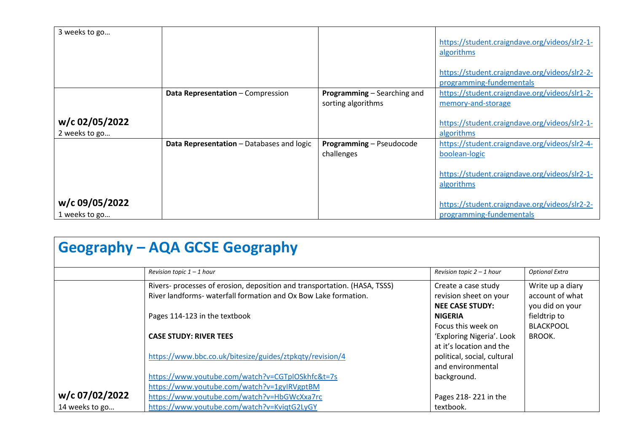| 3 weeks to go                   |                                           |                                                          | https://student.craigndave.org/videos/slr2-1-<br>algorithms<br>https://student.craigndave.org/videos/slr2-2-<br>programming-fundementals |
|---------------------------------|-------------------------------------------|----------------------------------------------------------|------------------------------------------------------------------------------------------------------------------------------------------|
|                                 | Data Representation - Compression         | <b>Programming</b> – Searching and<br>sorting algorithms | https://student.craigndave.org/videos/slr1-2-<br>memory-and-storage                                                                      |
| w/c 02/05/2022<br>2 weeks to go |                                           |                                                          | https://student.craigndave.org/videos/slr2-1-<br>algorithms                                                                              |
|                                 | Data Representation - Databases and logic | Programming - Pseudocode<br>challenges                   | https://student.craigndave.org/videos/slr2-4-<br>boolean-logic                                                                           |
|                                 |                                           |                                                          | https://student.craigndave.org/videos/slr2-1-<br>algorithms                                                                              |
| w/c 09/05/2022<br>1 weeks to go |                                           |                                                          | https://student.craigndave.org/videos/slr2-2-<br>programming-fundementals                                                                |

| <b>Geography - AQA GCSE Geography</b> |  |
|---------------------------------------|--|
|---------------------------------------|--|

|                                  | Revision topic $1 - 1$ hour                                                                                                                  | Revision topic $2 - 1$ hour                                    | <b>Optional Extra</b>                               |
|----------------------------------|----------------------------------------------------------------------------------------------------------------------------------------------|----------------------------------------------------------------|-----------------------------------------------------|
|                                  | Rivers- processes of erosion, deposition and transportation. (HASA, TSSS)<br>River landforms- waterfall formation and Ox Bow Lake formation. | Create a case study<br>revision sheet on your                  | Write up a diary<br>account of what                 |
|                                  | Pages 114-123 in the textbook                                                                                                                | <b>NEE CASE STUDY:</b><br><b>NIGERIA</b><br>Focus this week on | you did on your<br>fieldtrip to<br><b>BLACKPOOL</b> |
|                                  | <b>CASE STUDY: RIVER TEES</b>                                                                                                                | 'Exploring Nigeria'. Look<br>at it's location and the          | <b>BROOK.</b>                                       |
|                                  | https://www.bbc.co.uk/bitesize/guides/ztpkqty/revision/4                                                                                     | political, social, cultural<br>and environmental               |                                                     |
|                                  | https://www.youtube.com/watch?v=CGTplOSkhfc&t=7s<br>https://www.youtube.com/watch?v=1gyIRVgptBM                                              | background.                                                    |                                                     |
| w/c 07/02/2022<br>14 weeks to go | https://www.youtube.com/watch?v=HbGWcXxa7rc<br>https://www.youtube.com/watch?v=KviqtG2LyGY                                                   | Pages 218-221 in the<br>textbook.                              |                                                     |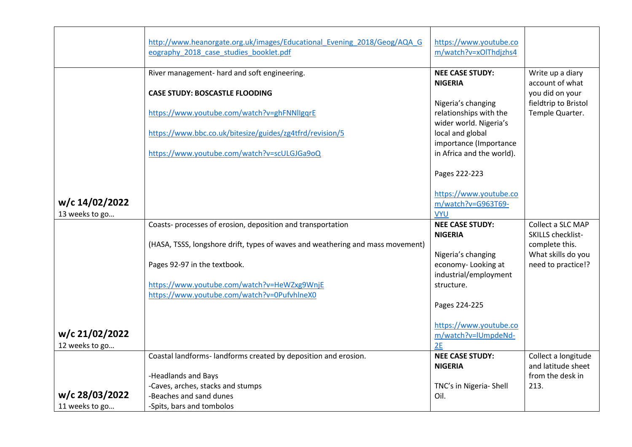|                | http://www.heanorgate.org.uk/images/Educational_Evening_2018/Geog/AQA_G        | https://www.youtube.co    |                      |
|----------------|--------------------------------------------------------------------------------|---------------------------|----------------------|
|                | eography 2018 case studies booklet.pdf                                         | m/watch?v=xOlThdjzhs4     |                      |
|                |                                                                                |                           |                      |
|                | River management- hard and soft engineering.                                   | <b>NEE CASE STUDY:</b>    | Write up a diary     |
|                |                                                                                | <b>NIGERIA</b>            | account of what      |
|                | <b>CASE STUDY: BOSCASTLE FLOODING</b>                                          |                           | you did on your      |
|                |                                                                                | Nigeria's changing        | fieldtrip to Bristol |
|                | https://www.youtube.com/watch?v=ghFNNllgqrE                                    | relationships with the    | Temple Quarter.      |
|                |                                                                                | wider world. Nigeria's    |                      |
|                | https://www.bbc.co.uk/bitesize/guides/zg4tfrd/revision/5                       | local and global          |                      |
|                |                                                                                | importance (Importance    |                      |
|                | https://www.youtube.com/watch?v=scULGJGa9oQ                                    | in Africa and the world). |                      |
|                |                                                                                |                           |                      |
|                |                                                                                | Pages 222-223             |                      |
|                |                                                                                |                           |                      |
|                |                                                                                | https://www.youtube.co    |                      |
| w/c 14/02/2022 |                                                                                | m/watch?v=G963T69-        |                      |
| 13 weeks to go |                                                                                | <b>VYU</b>                |                      |
|                | Coasts-processes of erosion, deposition and transportation                     | <b>NEE CASE STUDY:</b>    | Collect a SLC MAP    |
|                |                                                                                | <b>NIGERIA</b>            | SKILLS checklist-    |
|                | (HASA, TSSS, longshore drift, types of waves and weathering and mass movement) |                           | complete this.       |
|                |                                                                                | Nigeria's changing        | What skills do you   |
|                | Pages 92-97 in the textbook.                                                   | economy-Looking at        | need to practice!?   |
|                |                                                                                | industrial/employment     |                      |
|                | https://www.youtube.com/watch?v=HeWZxg9WnjE                                    | structure.                |                      |
|                | https://www.youtube.com/watch?v=0PufvhlneX0                                    |                           |                      |
|                |                                                                                | Pages 224-225             |                      |
|                |                                                                                |                           |                      |
|                |                                                                                | https://www.youtube.co    |                      |
| w/c 21/02/2022 |                                                                                | m/watch?v=IUmpdeNd-       |                      |
| 12 weeks to go |                                                                                | 2E                        |                      |
|                | Coastal landforms-landforms created by deposition and erosion.                 | <b>NEE CASE STUDY:</b>    | Collect a longitude  |
|                |                                                                                | <b>NIGERIA</b>            | and latitude sheet   |
|                | -Headlands and Bays                                                            |                           | from the desk in     |
|                | -Caves, arches, stacks and stumps                                              | TNC's in Nigeria- Shell   | 213.                 |
| w/c 28/03/2022 | -Beaches and sand dunes                                                        | Oil.                      |                      |
| 11 weeks to go | -Spits, bars and tombolos                                                      |                           |                      |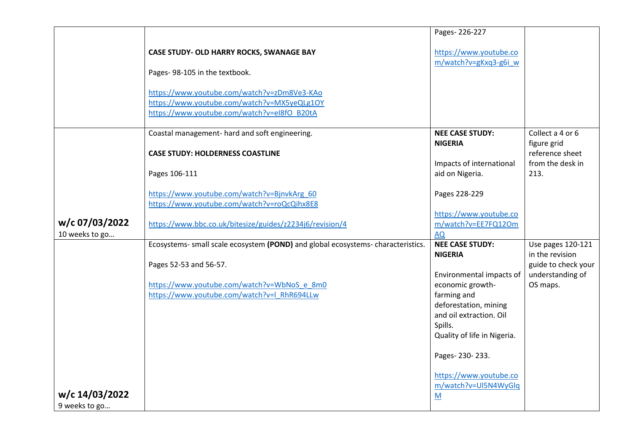|                |                                                                                            | Pages-226-227                                   |                                      |
|----------------|--------------------------------------------------------------------------------------------|-------------------------------------------------|--------------------------------------|
|                | CASE STUDY- OLD HARRY ROCKS, SWANAGE BAY                                                   | https://www.youtube.co<br>m/watch?v=gKxq3-g6i w |                                      |
|                | Pages-98-105 in the textbook.                                                              |                                                 |                                      |
|                | https://www.youtube.com/watch?v=zDm8Ve3-KAo<br>https://www.youtube.com/watch?v=MX5yeQLg1OY |                                                 |                                      |
|                | https://www.youtube.com/watch?v=eI8fO_B20tA                                                |                                                 |                                      |
|                | Coastal management- hard and soft engineering.                                             | <b>NEE CASE STUDY:</b><br><b>NIGERIA</b>        | Collect a 4 or 6<br>figure grid      |
|                | <b>CASE STUDY: HOLDERNESS COASTLINE</b>                                                    | Impacts of international                        | reference sheet<br>from the desk in  |
|                | Pages 106-111                                                                              | aid on Nigeria.                                 | 213.                                 |
|                | https://www.youtube.com/watch?v=BjnvkArg 60<br>https://www.youtube.com/watch?v=roQcQihx8E8 | Pages 228-229                                   |                                      |
| w/c 07/03/2022 | https://www.bbc.co.uk/bitesize/guides/z2234j6/revision/4                                   | https://www.youtube.co<br>m/watch?v=EE7FQ12Om   |                                      |
| 10 weeks to go |                                                                                            | <b>AQ</b>                                       |                                      |
|                | Ecosystems- small scale ecosystem (POND) and global ecosystems- characteristics.           | <b>NEE CASE STUDY:</b><br><b>NIGERIA</b>        | Use pages 120-121<br>in the revision |
|                | Pages 52-53 and 56-57.                                                                     |                                                 | guide to check your                  |
|                | https://www.youtube.com/watch?v=WbNoS_e_8m0                                                | Environmental impacts of<br>economic growth-    | understanding of<br>OS maps.         |
|                | https://www.youtube.com/watch?v=I RhR694LLw                                                | farming and                                     |                                      |
|                |                                                                                            | deforestation, mining                           |                                      |
|                |                                                                                            | and oil extraction. Oil                         |                                      |
|                |                                                                                            | Spills.<br>Quality of life in Nigeria.          |                                      |
|                |                                                                                            | Pages-230-233.                                  |                                      |
|                |                                                                                            | https://www.youtube.co<br>m/watch?v=UI5N4WyGlq  |                                      |
| w/c 14/03/2022 |                                                                                            | M                                               |                                      |
| 9 weeks to go  |                                                                                            |                                                 |                                      |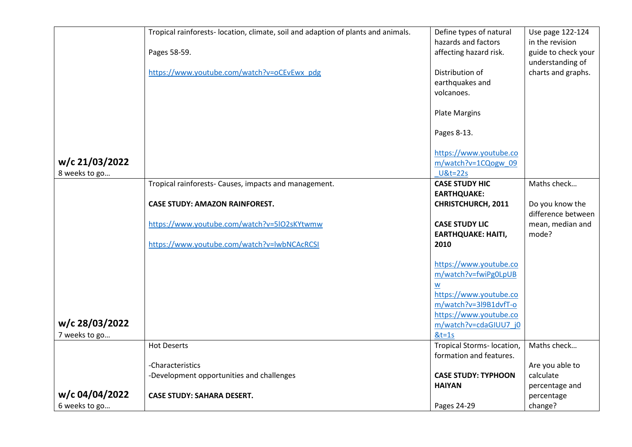|                | Tropical rainforests- location, climate, soil and adaption of plants and animals. | Define types of natural                       | Use page 122-124                       |
|----------------|-----------------------------------------------------------------------------------|-----------------------------------------------|----------------------------------------|
|                | Pages 58-59.                                                                      | hazards and factors<br>affecting hazard risk. | in the revision<br>guide to check your |
|                |                                                                                   |                                               | understanding of                       |
|                | https://www.youtube.com/watch?v=oCEvEwx_pdg                                       | Distribution of                               | charts and graphs.                     |
|                |                                                                                   | earthquakes and                               |                                        |
|                |                                                                                   | volcanoes.                                    |                                        |
|                |                                                                                   |                                               |                                        |
|                |                                                                                   | <b>Plate Margins</b>                          |                                        |
|                |                                                                                   | Pages 8-13.                                   |                                        |
|                |                                                                                   | https://www.youtube.co                        |                                        |
| w/c 21/03/2022 |                                                                                   | m/watch?v=1CQogw 09                           |                                        |
| 8 weeks to go  |                                                                                   | <b>U&amp;t=22s</b>                            |                                        |
|                | Tropical rainforests- Causes, impacts and management.                             | <b>CASE STUDY HIC</b>                         | Maths check                            |
|                |                                                                                   | <b>EARTHQUAKE:</b>                            |                                        |
|                | <b>CASE STUDY: AMAZON RAINFOREST.</b>                                             | <b>CHRISTCHURCH, 2011</b>                     | Do you know the                        |
|                |                                                                                   |                                               | difference between                     |
|                | https://www.youtube.com/watch?v=5IO2sKYtwmw                                       | <b>CASE STUDY LIC</b>                         | mean, median and                       |
|                |                                                                                   | <b>EARTHQUAKE: HAITI,</b>                     | mode?                                  |
|                | https://www.youtube.com/watch?v=lwbNCAcRCSI                                       | 2010                                          |                                        |
|                |                                                                                   | https://www.youtube.co                        |                                        |
|                |                                                                                   | m/watch?v=fwiPg0LpUB                          |                                        |
|                |                                                                                   | W                                             |                                        |
|                |                                                                                   | https://www.youtube.co                        |                                        |
|                |                                                                                   | m/watch?v=3l9B1dvfT-o                         |                                        |
|                |                                                                                   | https://www.youtube.co                        |                                        |
| w/c 28/03/2022 |                                                                                   | m/watch?v=cdaGIUU7 j0                         |                                        |
| 7 weeks to go  |                                                                                   | $&t=1s$                                       |                                        |
|                | <b>Hot Deserts</b>                                                                | Tropical Storms- location,                    | Maths check                            |
|                |                                                                                   | formation and features.                       |                                        |
|                | -Characteristics                                                                  |                                               | Are you able to                        |
|                | -Development opportunities and challenges                                         | <b>CASE STUDY: TYPHOON</b><br><b>HAIYAN</b>   | calculate                              |
| w/c 04/04/2022 | <b>CASE STUDY: SAHARA DESERT.</b>                                                 |                                               | percentage and<br>percentage           |
|                |                                                                                   |                                               |                                        |
| 6 weeks to go  |                                                                                   | Pages 24-29                                   | change?                                |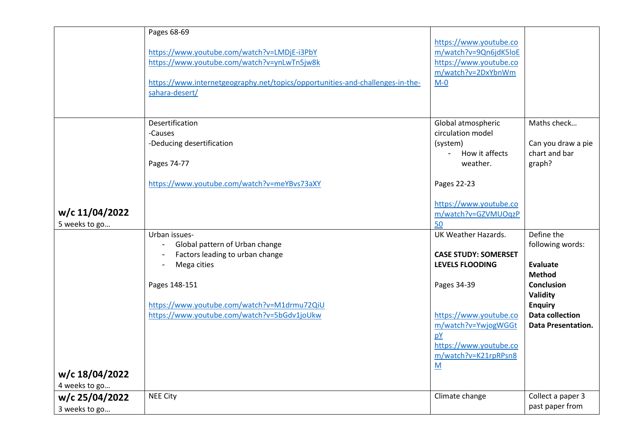|                | Pages 68-69                                                                                     |                             |                           |
|----------------|-------------------------------------------------------------------------------------------------|-----------------------------|---------------------------|
|                |                                                                                                 | https://www.youtube.co      |                           |
|                | https://www.youtube.com/watch?v=LMDjE-i3PbY                                                     | m/watch?v=9Qn6jdK5loE       |                           |
|                | https://www.youtube.com/watch?v=ynLwTn5jw8k                                                     | https://www.youtube.co      |                           |
|                |                                                                                                 | m/watch?v=2DxYbnWm          |                           |
|                | https://www.internetgeography.net/topics/opportunities-and-challenges-in-the-<br>sahara-desert/ | $M - 0$                     |                           |
|                |                                                                                                 |                             |                           |
|                |                                                                                                 |                             |                           |
|                | Desertification                                                                                 | Global atmospheric          | Maths check               |
|                | -Causes                                                                                         | circulation model           |                           |
|                | -Deducing desertification                                                                       | (system)                    | Can you draw a pie        |
|                |                                                                                                 | How it affects              | chart and bar             |
|                | Pages 74-77                                                                                     | weather.                    | graph?                    |
|                | https://www.youtube.com/watch?v=meYBvs73aXY                                                     | Pages 22-23                 |                           |
|                |                                                                                                 |                             |                           |
|                |                                                                                                 | https://www.youtube.co      |                           |
| w/c 11/04/2022 |                                                                                                 | m/watch?v=GZVMUOqzP         |                           |
| 5 weeks to go  |                                                                                                 | 50                          |                           |
|                | Urban issues-                                                                                   | UK Weather Hazards.         | Define the                |
|                | Global pattern of Urban change                                                                  |                             | following words:          |
|                | Factors leading to urban change                                                                 | <b>CASE STUDY: SOMERSET</b> |                           |
|                | Mega cities                                                                                     | <b>LEVELS FLOODING</b>      | <b>Evaluate</b>           |
|                |                                                                                                 |                             | <b>Method</b>             |
|                | Pages 148-151                                                                                   | Pages 34-39                 | <b>Conclusion</b>         |
|                |                                                                                                 |                             | Validity                  |
|                | https://www.youtube.com/watch?v=M1drmu72QiU                                                     |                             | <b>Enquiry</b>            |
|                | https://www.youtube.com/watch?v=5bGdv1joUkw                                                     | https://www.youtube.co      | <b>Data collection</b>    |
|                |                                                                                                 | m/watch?v=YwjogWGGt         | <b>Data Presentation.</b> |
|                |                                                                                                 | pY                          |                           |
|                |                                                                                                 | https://www.youtube.co      |                           |
|                |                                                                                                 | m/watch?v=K21rpRPsn8        |                           |
| w/c 18/04/2022 |                                                                                                 | M                           |                           |
|                |                                                                                                 |                             |                           |
| 4 weeks to go  | <b>NEE City</b>                                                                                 | Climate change              | Collect a paper 3         |
| w/c 25/04/2022 |                                                                                                 |                             | past paper from           |
| 3 weeks to go  |                                                                                                 |                             |                           |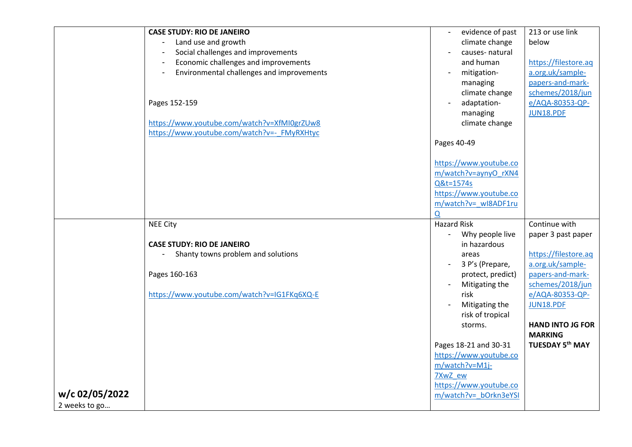|                                 | <b>CASE STUDY: RIO DE JANEIRO</b>           | evidence of past       | 213 or use link         |
|---------------------------------|---------------------------------------------|------------------------|-------------------------|
|                                 | Land use and growth                         | climate change         | below                   |
|                                 | Social challenges and improvements          | causes-natural         |                         |
|                                 | Economic challenges and improvements        | and human              | https://filestore.aq    |
|                                 | Environmental challenges and improvements   | mitigation-            | a.org.uk/sample-        |
|                                 |                                             | managing               | papers-and-mark-        |
|                                 |                                             | climate change         | schemes/2018/jun        |
|                                 | Pages 152-159                               | adaptation-            | e/AQA-80353-QP-         |
|                                 |                                             | managing               | JUN18.PDF               |
|                                 | https://www.youtube.com/watch?v=XfMI0grZUw8 | climate change         |                         |
|                                 | https://www.youtube.com/watch?v=- FMyRXHtyc |                        |                         |
|                                 |                                             | Pages 40-49            |                         |
|                                 |                                             | https://www.youtube.co |                         |
|                                 |                                             | m/watch?v=aynyO rXN4   |                         |
|                                 |                                             | Q&t=1574s              |                         |
|                                 |                                             | https://www.youtube.co |                         |
|                                 |                                             | m/watch?v= wI8ADF1ru   |                         |
|                                 |                                             | Q                      |                         |
|                                 | <b>NEE City</b>                             | <b>Hazard Risk</b>     | Continue with           |
|                                 |                                             | Why people live        | paper 3 past paper      |
|                                 | <b>CASE STUDY: RIO DE JANEIRO</b>           |                        |                         |
|                                 |                                             | in hazardous           |                         |
|                                 | Shanty towns problem and solutions          | areas                  | https://filestore.aq    |
|                                 |                                             | 3 P's (Prepare,        | a.org.uk/sample-        |
|                                 | Pages 160-163                               | protect, predict)      | papers-and-mark-        |
|                                 |                                             | Mitigating the         | schemes/2018/jun        |
|                                 | https://www.youtube.com/watch?v=IG1FKq6XQ-E | risk                   | e/AQA-80353-QP-         |
|                                 |                                             | Mitigating the         | JUN18.PDF               |
|                                 |                                             | risk of tropical       |                         |
|                                 |                                             | storms.                | <b>HAND INTO JG FOR</b> |
|                                 |                                             |                        | <b>MARKING</b>          |
|                                 |                                             | Pages 18-21 and 30-31  | <b>TUESDAY 5th MAY</b>  |
|                                 |                                             | https://www.youtube.co |                         |
|                                 |                                             | m/watch?v=M1j-         |                         |
|                                 |                                             | 7XwZ ew                |                         |
|                                 |                                             | https://www.youtube.co |                         |
| w/c 02/05/2022<br>2 weeks to go |                                             | m/watch?v=_bOrkn3eYSI  |                         |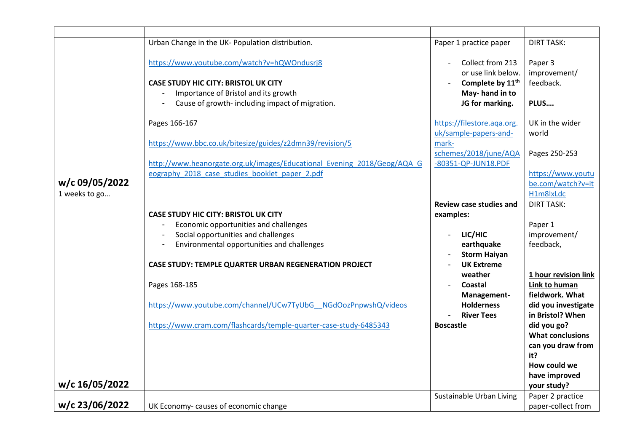|                | Urban Change in the UK- Population distribution.                                           | Paper 1 practice paper                                                 | <b>DIRT TASK:</b>                    |
|----------------|--------------------------------------------------------------------------------------------|------------------------------------------------------------------------|--------------------------------------|
|                | https://www.youtube.com/watch?v=hQWOndusrj8<br><b>CASE STUDY HIC CITY: BRISTOL UK CITY</b> | Collect from 213<br>or use link below.<br>Complete by 11 <sup>th</sup> | Paper 3<br>improvement/<br>feedback. |
|                | Importance of Bristol and its growth                                                       | May-hand in to                                                         |                                      |
|                | Cause of growth-including impact of migration.                                             | JG for marking.                                                        | PLUS                                 |
|                |                                                                                            |                                                                        |                                      |
|                | Pages 166-167                                                                              | https://filestore.aqa.org.                                             | UK in the wider                      |
|                |                                                                                            | uk/sample-papers-and-                                                  | world                                |
|                | https://www.bbc.co.uk/bitesize/guides/z2dmn39/revision/5                                   | mark-                                                                  |                                      |
|                |                                                                                            | schemes/2018/june/AQA                                                  | Pages 250-253                        |
|                | http://www.heanorgate.org.uk/images/Educational Evening 2018/Geog/AQA G                    | -80351-QP-JUN18.PDF                                                    |                                      |
|                | eography 2018 case studies booklet paper 2.pdf                                             |                                                                        | https://www.youtu                    |
| w/c 09/05/2022 |                                                                                            |                                                                        | be.com/watch?v=it                    |
| 1 weeks to go  |                                                                                            |                                                                        | H1m8lxLdc                            |
|                |                                                                                            | <b>Review case studies and</b>                                         | <b>DIRT TASK:</b>                    |
|                | <b>CASE STUDY HIC CITY: BRISTOL UK CITY</b>                                                | examples:                                                              |                                      |
|                | Economic opportunities and challenges                                                      |                                                                        | Paper 1                              |
|                | Social opportunities and challenges                                                        | LIC/HIC                                                                | improvement/                         |
|                | Environmental opportunities and challenges                                                 | earthquake                                                             | feedback,                            |
|                |                                                                                            | <b>Storm Haiyan</b>                                                    |                                      |
|                | CASE STUDY: TEMPLE QUARTER URBAN REGENERATION PROJECT                                      | <b>UK Extreme</b>                                                      |                                      |
|                |                                                                                            | weather                                                                | 1 hour revision link                 |
|                | Pages 168-185                                                                              | <b>Coastal</b>                                                         | Link to human                        |
|                |                                                                                            | Management-                                                            | fieldwork. What                      |
|                | https://www.youtube.com/channel/UCw7TyUbG NGdOozPnpwshQ/videos                             | <b>Holderness</b>                                                      | did you investigate                  |
|                |                                                                                            | <b>River Tees</b>                                                      | in Bristol? When                     |
|                | https://www.cram.com/flashcards/temple-quarter-case-study-6485343                          | <b>Boscastle</b>                                                       | did you go?                          |
|                |                                                                                            |                                                                        | <b>What conclusions</b>              |
|                |                                                                                            |                                                                        | can you draw from                    |
|                |                                                                                            |                                                                        | it?                                  |
|                |                                                                                            |                                                                        | How could we                         |
|                |                                                                                            |                                                                        | have improved                        |
| w/c 16/05/2022 |                                                                                            |                                                                        | your study?                          |
|                |                                                                                            | Sustainable Urban Living                                               | Paper 2 practice                     |
| w/c 23/06/2022 | UK Economy-causes of economic change                                                       |                                                                        | paper-collect from                   |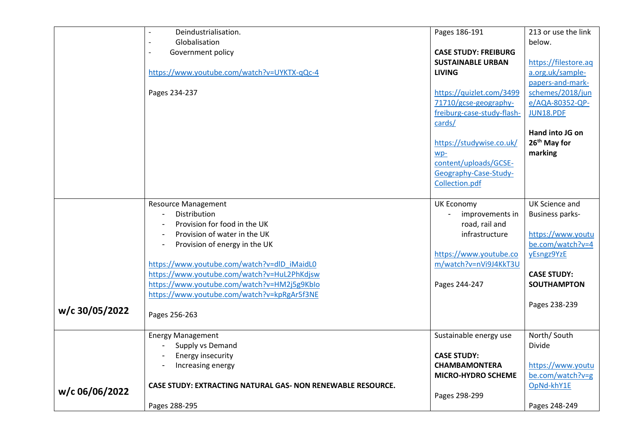|                | Deindustrialisation.                                               | Pages 186-191               | 213 or use the link    |
|----------------|--------------------------------------------------------------------|-----------------------------|------------------------|
|                | Globalisation                                                      |                             | below.                 |
|                | Government policy                                                  | <b>CASE STUDY: FREIBURG</b> |                        |
|                |                                                                    | <b>SUSTAINABLE URBAN</b>    | https://filestore.aq   |
|                | https://www.youtube.com/watch?v=UYKTX-qQc-4                        | <b>LIVING</b>               | a.org.uk/sample-       |
|                |                                                                    |                             | papers-and-mark-       |
|                | Pages 234-237                                                      | https://quizlet.com/3499    | schemes/2018/jun       |
|                |                                                                    | 71710/gcse-geography-       | e/AQA-80352-QP-        |
|                |                                                                    | freiburg-case-study-flash-  | JUN18.PDF              |
|                |                                                                    | cards/                      |                        |
|                |                                                                    |                             | Hand into JG on        |
|                |                                                                    | https://studywise.co.uk/    | 26th May for           |
|                |                                                                    | wp-                         | marking                |
|                |                                                                    | content/uploads/GCSE-       |                        |
|                |                                                                    | Geography-Case-Study-       |                        |
|                |                                                                    | Collection.pdf              |                        |
|                |                                                                    |                             |                        |
|                | <b>Resource Management</b>                                         | <b>UK Economy</b>           | <b>UK Science and</b>  |
|                | Distribution                                                       | improvements in             | <b>Business parks-</b> |
|                | Provision for food in the UK                                       | road, rail and              |                        |
|                | Provision of water in the UK                                       | infrastructure              | https://www.youtu      |
|                | Provision of energy in the UK                                      |                             | be.com/watch?v=4       |
|                |                                                                    | https://www.youtube.co      | yEsngz9YzE             |
|                | https://www.youtube.com/watch?v=dlD iMaidL0                        | m/watch?v=nVi9J4KkT3U       |                        |
|                | https://www.youtube.com/watch?v=HuL2PhKdjsw                        |                             | <b>CASE STUDY:</b>     |
|                | https://www.youtube.com/watch?v=HM2j5g9KbIo                        | Pages 244-247               | <b>SOUTHAMPTON</b>     |
|                | https://www.youtube.com/watch?v=kpRgAr5f3NE                        |                             |                        |
| w/c 30/05/2022 |                                                                    |                             | Pages 238-239          |
|                | Pages 256-263                                                      |                             |                        |
|                |                                                                    |                             |                        |
|                | <b>Energy Management</b>                                           | Sustainable energy use      | North/South            |
|                | Supply vs Demand                                                   |                             | <b>Divide</b>          |
|                | Energy insecurity                                                  | <b>CASE STUDY:</b>          |                        |
|                | Increasing energy                                                  | <b>CHAMBAMONTERA</b>        | https://www.youtu      |
|                |                                                                    | <b>MICRO-HYDRO SCHEME</b>   | be.com/watch?v=g       |
| w/c 06/06/2022 | <b>CASE STUDY: EXTRACTING NATURAL GAS- NON RENEWABLE RESOURCE.</b> |                             | OpNd-khY1E             |
|                |                                                                    | Pages 298-299               |                        |
|                | Pages 288-295                                                      |                             | Pages 248-249          |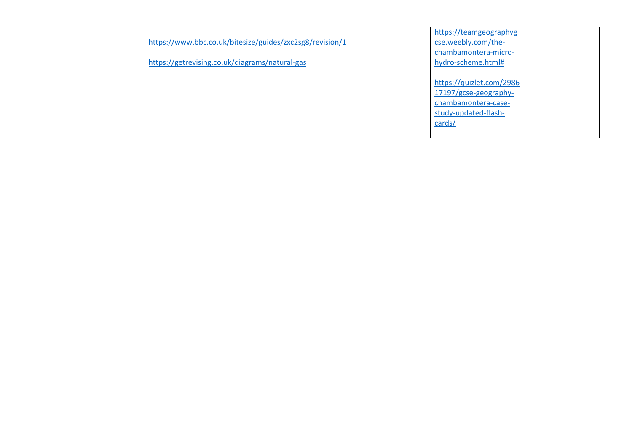| https://www.bbc.co.uk/bitesize/guides/zxc2sg8/revision/1<br>https://getrevising.co.uk/diagrams/natural-gas | https://teamgeographyg<br>cse.weebly.com/the-<br>chambamontera-micro-<br>hydro-scheme.html#                |
|------------------------------------------------------------------------------------------------------------|------------------------------------------------------------------------------------------------------------|
|                                                                                                            | https://quizlet.com/2986<br>17197/gcse-geography-<br>chambamontera-case-<br>study-updated-flash-<br>cards/ |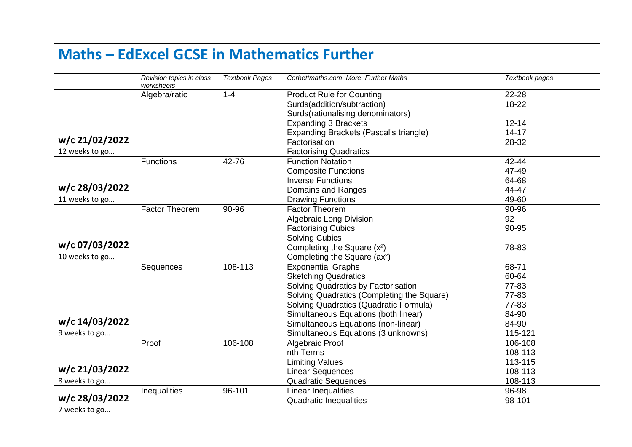|                                  |                                        |                       | <b>Maths - EdExcel GCSE in Mathematics Further</b>                                                                                                                                                                                                                                                            |                                                                        |
|----------------------------------|----------------------------------------|-----------------------|---------------------------------------------------------------------------------------------------------------------------------------------------------------------------------------------------------------------------------------------------------------------------------------------------------------|------------------------------------------------------------------------|
|                                  | Revision topics in class<br>worksheets | <b>Textbook Pages</b> | Corbettmaths.com More Further Maths                                                                                                                                                                                                                                                                           | Textbook pages                                                         |
|                                  | Algebra/ratio                          | $1 - 4$               | <b>Product Rule for Counting</b><br>Surds(addition/subtraction)<br>Surds(rationalising denominators)                                                                                                                                                                                                          | 22-28<br>18-22                                                         |
| w/c 21/02/2022<br>12 weeks to go |                                        |                       | <b>Expanding 3 Brackets</b><br>Expanding Brackets (Pascal's triangle)<br>Factorisation<br><b>Factorising Quadratics</b>                                                                                                                                                                                       | $12 - 14$<br>$14 - 17$<br>28-32                                        |
| w/c 28/03/2022<br>11 weeks to go | <b>Functions</b>                       | $42 - 76$             | <b>Function Notation</b><br><b>Composite Functions</b><br><b>Inverse Functions</b><br>Domains and Ranges<br><b>Drawing Functions</b>                                                                                                                                                                          | 42-44<br>47-49<br>64-68<br>44-47<br>49-60                              |
| w/c 07/03/2022<br>10 weeks to go | <b>Factor Theorem</b>                  | 90-96                 | <b>Factor Theorem</b><br><b>Algebraic Long Division</b><br><b>Factorising Cubics</b><br><b>Solving Cubics</b><br>Completing the Square (x <sup>2</sup> )<br>Completing the Square (ax <sup>2</sup> )                                                                                                          | 90-96<br>92<br>90-95<br>78-83                                          |
| w/c 14/03/2022<br>9 weeks to go  | Sequences                              | $\overline{108}$ -113 | <b>Exponential Graphs</b><br><b>Sketching Quadratics</b><br>Solving Quadratics by Factorisation<br>Solving Quadratics (Completing the Square)<br>Solving Quadratics (Quadratic Formula)<br>Simultaneous Equations (both linear)<br>Simultaneous Equations (non-linear)<br>Simultaneous Equations (3 unknowns) | 68-71<br>60-64<br>77-83<br>77-83<br>77-83<br>84-90<br>84-90<br>115-121 |
| w/c 21/03/2022<br>8 weeks to go  | Proof                                  | 106-108               | Algebraic Proof<br>nth Terms<br><b>Limiting Values</b><br><b>Linear Sequences</b><br><b>Quadratic Sequences</b>                                                                                                                                                                                               | 106-108<br>108-113<br>113-115<br>108-113<br>108-113                    |
| w/c 28/03/2022<br>7 weeks to go  | Inequalities                           | 96-101                | Linear Inequalities<br><b>Quadratic Inequalities</b>                                                                                                                                                                                                                                                          | 96-98<br>98-101                                                        |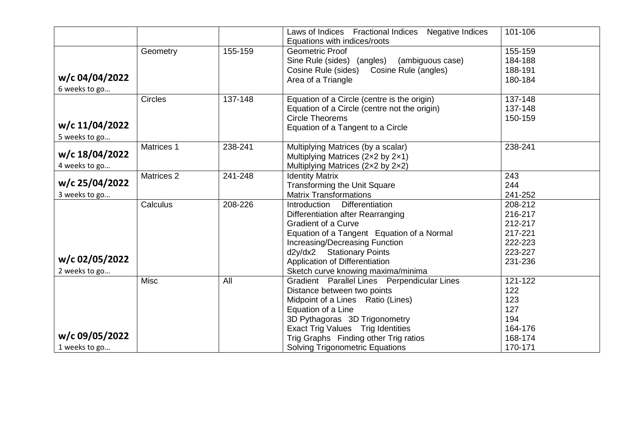|                |                       |         | Laws of Indices Fractional Indices Negative Indices | 101-106 |
|----------------|-----------------------|---------|-----------------------------------------------------|---------|
|                |                       |         | Equations with indices/roots                        |         |
|                | Geometry              | 155-159 | <b>Geometric Proof</b>                              | 155-159 |
|                |                       |         | Sine Rule (sides) (angles)<br>(ambiguous case)      | 184-188 |
|                |                       |         | Cosine Rule (angles)<br>Cosine Rule (sides)         | 188-191 |
| w/c 04/04/2022 |                       |         | Area of a Triangle                                  | 180-184 |
| 6 weeks to go  |                       |         |                                                     |         |
|                | <b>Circles</b>        | 137-148 | Equation of a Circle (centre is the origin)         | 137-148 |
|                |                       |         | Equation of a Circle (centre not the origin)        | 137-148 |
|                |                       |         | <b>Circle Theorems</b>                              | 150-159 |
| w/c 11/04/2022 |                       |         | Equation of a Tangent to a Circle                   |         |
| 5 weeks to go  |                       |         |                                                     |         |
|                | Matrices 1            | 238-241 | Multiplying Matrices (by a scalar)                  | 238-241 |
| w/c 18/04/2022 |                       |         | Multiplying Matrices (2x2 by 2x1)                   |         |
| 4 weeks to go  |                       |         | Multiplying Matrices (2x2 by 2x2)                   |         |
|                | Matrices <sub>2</sub> | 241-248 | <b>Identity Matrix</b>                              | 243     |
| w/c 25/04/2022 |                       |         | <b>Transforming the Unit Square</b>                 | 244     |
| 3 weeks to go  |                       |         | <b>Matrix Transformations</b>                       | 241-252 |
|                | Calculus              | 208-226 | <b>Differentiation</b><br>Introduction              | 208-212 |
|                |                       |         | Differentiation after Rearranging                   | 216-217 |
|                |                       |         | <b>Gradient of a Curve</b>                          | 212-217 |
|                |                       |         | Equation of a Tangent Equation of a Normal          | 217-221 |
|                |                       |         | Increasing/Decreasing Function                      | 222-223 |
|                |                       |         | d2y/dx2 Stationary Points                           | 223-227 |
| w/c 02/05/2022 |                       |         | Application of Differentiation                      | 231-236 |
| 2 weeks to go  |                       |         | Sketch curve knowing maxima/minima                  |         |
|                | <b>Misc</b>           | All     | Gradient Parallel Lines Perpendicular Lines         | 121-122 |
|                |                       |         | Distance between two points                         | 122     |
|                |                       |         | Midpoint of a Lines Ratio (Lines)                   | 123     |
|                |                       |         | Equation of a Line                                  | 127     |
|                |                       |         | 3D Pythagoras 3D Trigonometry                       | 194     |
|                |                       |         | Exact Trig Values Trig Identities                   | 164-176 |
| w/c 09/05/2022 |                       |         | Trig Graphs Finding other Trig ratios               | 168-174 |
| 1 weeks to go  |                       |         | <b>Solving Trigonometric Equations</b>              | 170-171 |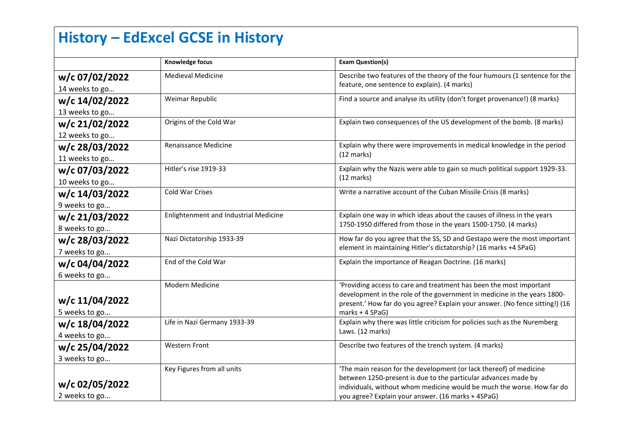# **History – EdExcel GCSE in History**

|                | Knowledge focus                       | <b>Exam Question(s)</b>                                                                                                                                  |
|----------------|---------------------------------------|----------------------------------------------------------------------------------------------------------------------------------------------------------|
| w/c 07/02/2022 | <b>Medieval Medicine</b>              | Describe two features of the theory of the four humours (1 sentence for the                                                                              |
| 14 weeks to go |                                       | feature, one sentence to explain). (4 marks)                                                                                                             |
| w/c 14/02/2022 | Weimar Republic                       | Find a source and analyse its utility (don't forget provenance!) (8 marks)                                                                               |
| 13 weeks to go |                                       |                                                                                                                                                          |
| w/c 21/02/2022 | Origins of the Cold War               | Explain two consequences of the US development of the bomb. (8 marks)                                                                                    |
| 12 weeks to go |                                       |                                                                                                                                                          |
| w/c 28/03/2022 | Renaissance Medicine                  | Explain why there were improvements in medical knowledge in the period                                                                                   |
| 11 weeks to go |                                       | $(12 \text{ marks})$                                                                                                                                     |
| w/c 07/03/2022 | Hitler's rise 1919-33                 | Explain why the Nazis were able to gain so much political support 1929-33.                                                                               |
| 10 weeks to go |                                       | $(12 \text{ marks})$                                                                                                                                     |
| w/c 14/03/2022 | Cold War Crises                       | Write a narrative account of the Cuban Missile Crisis (8 marks)                                                                                          |
| 9 weeks to go  |                                       |                                                                                                                                                          |
| w/c 21/03/2022 | Enlightenment and Industrial Medicine | Explain one way in which ideas about the causes of illness in the years<br>1750-1950 differed from those in the years 1500-1750. (4 marks)               |
| 8 weeks to go  |                                       |                                                                                                                                                          |
| w/c 28/03/2022 | Nazi Dictatorship 1933-39             | How far do you agree that the SS, SD and Gestapo were the most important                                                                                 |
| 7 weeks to go  |                                       | element in maintaining Hitler's dictatorship? (16 marks +4 SPaG)                                                                                         |
| w/c 04/04/2022 | End of the Cold War                   | Explain the importance of Reagan Doctrine. (16 marks)                                                                                                    |
| 6 weeks to go  |                                       |                                                                                                                                                          |
|                | Modern Medicine                       | 'Providing access to care and treatment has been the most important                                                                                      |
| w/c 11/04/2022 |                                       | development in the role of the government in medicine in the years 1800-<br>present.' How far do you agree? Explain your answer. (No fence sitting!) (16 |
| 5 weeks to go  |                                       | marks + 4 SPaG)                                                                                                                                          |
| w/c 18/04/2022 | Life in Nazi Germany 1933-39          | Explain why there was little criticism for policies such as the Nuremberg                                                                                |
| 4 weeks to go  |                                       | Laws. (12 marks)                                                                                                                                         |
| w/c 25/04/2022 | <b>Western Front</b>                  | Describe two features of the trench system. (4 marks)                                                                                                    |
| 3 weeks to go  |                                       |                                                                                                                                                          |
|                | Key Figures from all units            | 'The main reason for the development (or lack thereof) of medicine                                                                                       |
| w/c 02/05/2022 |                                       | between 1250-present is due to the particular advances made by<br>individuals, without whom medicine would be much the worse. How far do                 |
| 2 weeks to go  |                                       | you agree? Explain your answer. (16 marks + 4SPaG)                                                                                                       |